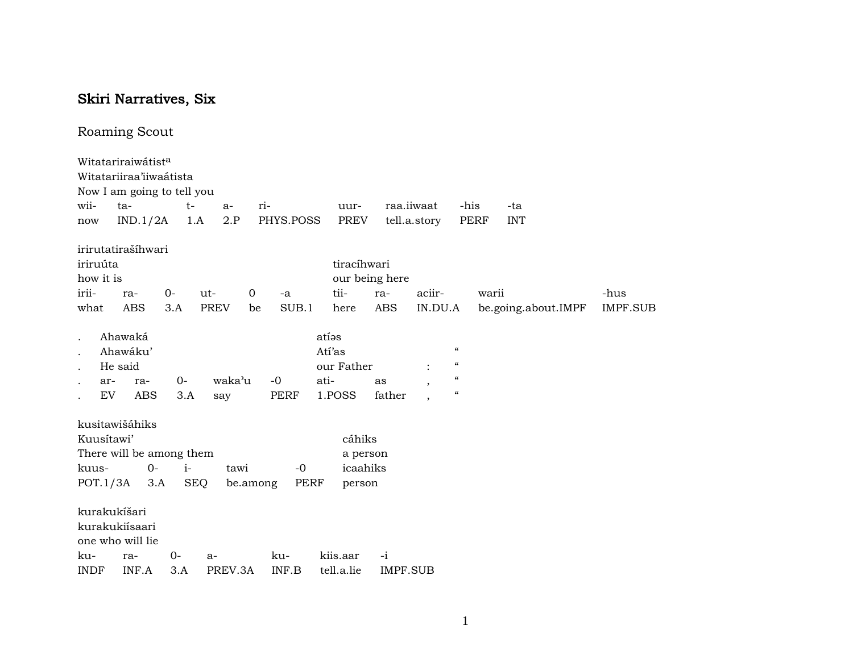## Skiri Narratives, Six

## Roaming Scout

|              | Witatariraiwátist <sup>a</sup><br>Witatariiraa'iiwaátista<br>Now I am going to tell you |      |             |          |             |            |             |                 |              |                                        |       |                     |                 |
|--------------|-----------------------------------------------------------------------------------------|------|-------------|----------|-------------|------------|-------------|-----------------|--------------|----------------------------------------|-------|---------------------|-----------------|
| wii-         | ta-                                                                                     | $t-$ | $a-$        | ri-      |             | uur-       |             | raa.iiwaat      |              | -his                                   |       | -ta                 |                 |
| now          | IND.1/2A                                                                                |      | 2.P<br>1.A  |          | PHYS.POSS   |            | PREV        |                 | tell.a.story | PERF                                   |       | <b>INT</b>          |                 |
|              | irirutatirašíhwari                                                                      |      |             |          |             |            |             |                 |              |                                        |       |                     |                 |
| iriruúta     |                                                                                         |      |             |          |             |            | tiracíhwari |                 |              |                                        |       |                     |                 |
| how it is    |                                                                                         |      |             |          |             |            |             | our being here  |              |                                        |       |                     |                 |
| irii-        | ra-                                                                                     | $0-$ | ut-         | 0        | $-a$        | tii-       |             | ra-             | aciir-       |                                        | warii |                     | -hus            |
| what         | ABS                                                                                     | 3.A  | <b>PREV</b> | be       | SUB.1       | here       |             | ABS             | IN.DU.A      |                                        |       | be.going.about.IMPF | <b>IMPF.SUB</b> |
| $\cdot$      | Ahawaká                                                                                 |      |             |          |             | atías      |             |                 |              |                                        |       |                     |                 |
|              | Ahawáku'                                                                                |      |             |          |             | Atí'as     |             |                 |              | $\boldsymbol{\zeta}\boldsymbol{\zeta}$ |       |                     |                 |
|              | He said                                                                                 |      |             |          |             | our Father |             |                 |              | $\boldsymbol{\zeta}\boldsymbol{\zeta}$ |       |                     |                 |
| ar-          | ra-                                                                                     | $0-$ | waka'u      |          | $-0$        | ati-       |             | as              | $\cdot$      | $\boldsymbol{\mathcal{C}}$             |       |                     |                 |
| EV           | ABS                                                                                     | 3.A  | say         |          | PERF        | 1.POSS     |             | father          |              | $\boldsymbol{\zeta}\boldsymbol{\zeta}$ |       |                     |                 |
|              | kusitawišáhiks                                                                          |      |             |          |             |            |             |                 |              |                                        |       |                     |                 |
| Kuusítawi'   |                                                                                         |      |             |          |             |            | cáhiks      |                 |              |                                        |       |                     |                 |
|              | There will be among them                                                                |      |             |          |             |            | a person    |                 |              |                                        |       |                     |                 |
| kuus-        | $O -$                                                                                   | $i-$ | tawi        |          | $-0$        |            | icaahiks    |                 |              |                                        |       |                     |                 |
| POT.1/3A     | 3.A                                                                                     |      | <b>SEQ</b>  | be.among | <b>PERF</b> |            | person      |                 |              |                                        |       |                     |                 |
|              |                                                                                         |      |             |          |             |            |             |                 |              |                                        |       |                     |                 |
| kurakukíšari |                                                                                         |      |             |          |             |            |             |                 |              |                                        |       |                     |                 |
|              | kurakukiísaari                                                                          |      |             |          |             |            |             |                 |              |                                        |       |                     |                 |
|              | one who will lie                                                                        |      |             |          |             |            |             |                 |              |                                        |       |                     |                 |
| ku-          | ra-                                                                                     | 0-   | $a-$        |          | ku-         | kiis.aar   |             | $-i$            |              |                                        |       |                     |                 |
| <b>INDF</b>  | INF.A                                                                                   | 3.A  | PREV.3A     |          | INF.B       | tell.a.lie |             | <b>IMPF.SUB</b> |              |                                        |       |                     |                 |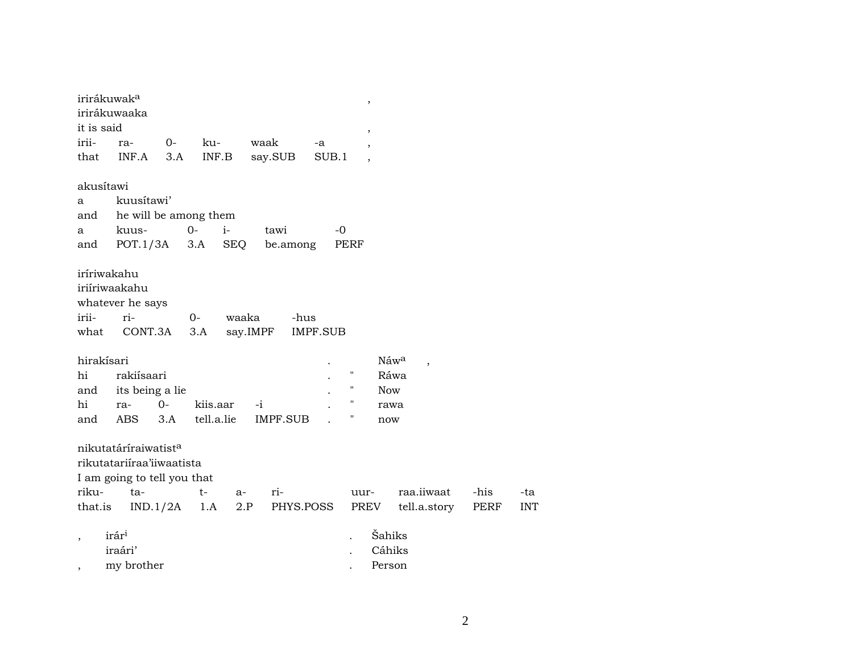|                          | irirákuwak <sup>a</sup>          |          |                       |                 |                 | ,                        |                                  |      |            |
|--------------------------|----------------------------------|----------|-----------------------|-----------------|-----------------|--------------------------|----------------------------------|------|------------|
|                          | irirákuwaaka                     |          |                       |                 |                 |                          |                                  |      |            |
| it is said               |                                  |          |                       |                 |                 | ,                        |                                  |      |            |
| irii-                    | ra-                              | $O-$     | ku-                   | waak            | -a              |                          |                                  |      |            |
| that                     | INF.A                            | 3.A      | INF.B                 | say.SUB         | SUB.1           | $\overline{\phantom{a}}$ |                                  |      |            |
| akusítawi                |                                  |          |                       |                 |                 |                          |                                  |      |            |
| a                        | kuusítawi'                       |          |                       |                 |                 |                          |                                  |      |            |
| and                      |                                  |          | he will be among them |                 |                 |                          |                                  |      |            |
| a                        | kuus-                            |          | $0-$<br>$i-$          | tawi            | -0              |                          |                                  |      |            |
| and                      | POT.1/3A                         |          | 3.A<br><b>SEQ</b>     | be.among        | PERF            |                          |                                  |      |            |
|                          |                                  |          |                       |                 |                 |                          |                                  |      |            |
| iríriwakahu              |                                  |          |                       |                 |                 |                          |                                  |      |            |
|                          | iriíriwaakahu                    |          |                       |                 |                 |                          |                                  |      |            |
|                          | whatever he says                 |          |                       |                 |                 |                          |                                  |      |            |
| irii-                    | ri-                              |          | $O -$                 | waaka           | -hus            |                          |                                  |      |            |
| what                     | CONT.3A                          |          | 3.A                   | say.IMPF        | <b>IMPF.SUB</b> |                          |                                  |      |            |
| hirakísari               |                                  |          |                       |                 |                 |                          | Náw <sup>a</sup>                 |      |            |
| hi                       | rakiísaari                       |          |                       |                 |                 | $\pmb{\mathsf{H}}$       | $\overline{\phantom{a}}$<br>Ráwa |      |            |
| and                      | its being a lie                  |          |                       |                 |                 | $\pmb{\mathsf{H}}$       | <b>Now</b>                       |      |            |
| hi                       | ra-                              | $0 -$    | kiis.aar              | $-i$            |                 | $\pmb{\mathsf{H}}$       | rawa                             |      |            |
| and                      | ABS                              | 3.A      | tell.a.lie            | <b>IMPF.SUB</b> |                 |                          | now                              |      |            |
|                          |                                  |          |                       |                 |                 |                          |                                  |      |            |
|                          | nikutatáríraiwatist <sup>a</sup> |          |                       |                 |                 |                          |                                  |      |            |
|                          | rikutatariiraa'iiwaatista        |          |                       |                 |                 |                          |                                  |      |            |
|                          | I am going to tell you that      |          |                       |                 |                 |                          |                                  |      |            |
| riku-                    | ta-                              |          | $t-$                  | ri-<br>a-       |                 | uur-                     | raa.iiwaat                       | -his | -ta        |
| that.is                  |                                  | IND.1/2A | 1.A                   | 2.P             | PHYS.POSS       | PREV                     | tell.a.story                     | PERF | <b>INT</b> |
|                          | irár <sup>i</sup>                |          |                       |                 |                 |                          | Šahiks                           |      |            |
|                          | iraári'                          |          |                       |                 |                 |                          | Cáhiks                           |      |            |
|                          | my brother                       |          |                       |                 |                 |                          | Person                           |      |            |
| $\overline{\phantom{a}}$ |                                  |          |                       |                 |                 |                          |                                  |      |            |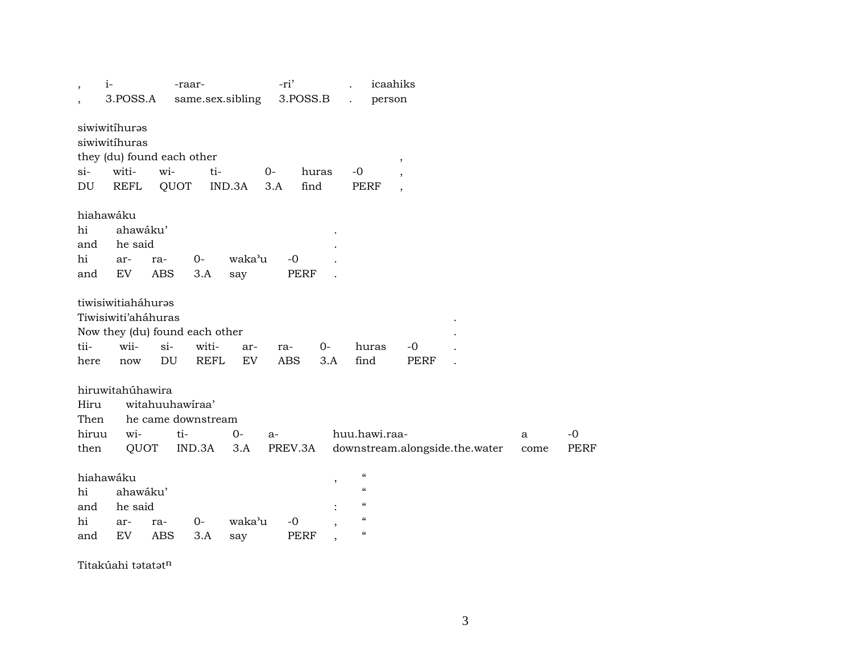| $\overline{\phantom{a}}$ | $i-$                           | -raar-             |             |                  | -ri'        |               |                                | icaahiks                 |                                |      |             |
|--------------------------|--------------------------------|--------------------|-------------|------------------|-------------|---------------|--------------------------------|--------------------------|--------------------------------|------|-------------|
|                          | 3.POSS.A                       |                    |             | same.sex.sibling | 3.POSS.B    |               | person<br>$\ddot{\phantom{a}}$ |                          |                                |      |             |
|                          | siwiwitihuras                  |                    |             |                  |             |               |                                |                          |                                |      |             |
|                          | siwiwitihuras                  |                    |             |                  |             |               |                                |                          |                                |      |             |
|                          |                                |                    |             |                  |             |               |                                |                          |                                |      |             |
|                          | they (du) found each other     |                    |             |                  |             |               |                                | $^\mathrm{,}$            |                                |      |             |
| $si-$                    | witi-                          | wi-                | ti-         |                  | 0-          | huras         | $-0$                           |                          |                                |      |             |
| DU                       | <b>REFL</b>                    | QUOT               |             | IND.3A           | 3.A<br>find |               | <b>PERF</b>                    | $\overline{\phantom{a}}$ |                                |      |             |
|                          | hiahawáku                      |                    |             |                  |             |               |                                |                          |                                |      |             |
| hi                       | ahawáku'                       |                    |             |                  |             |               |                                |                          |                                |      |             |
| and                      | he said                        |                    |             |                  |             |               |                                |                          |                                |      |             |
| hi                       | ar-                            | ra-                | $0-$        | waka'u           | $-0$        |               |                                |                          |                                |      |             |
| and                      | EV                             | <b>ABS</b>         | 3.A         | say              | <b>PERF</b> |               |                                |                          |                                |      |             |
|                          |                                |                    |             |                  |             |               |                                |                          |                                |      |             |
|                          | tiwisiwitiaháhuras             |                    |             |                  |             |               |                                |                          |                                |      |             |
|                          | Tiwisiwiti'aháhuras            |                    |             |                  |             |               |                                |                          |                                |      |             |
|                          | Now they (du) found each other |                    |             |                  |             |               |                                |                          |                                |      |             |
| tii-                     | wii-                           | $si-$              | witi-       | ar-              | ra-         | $0-$          | huras                          | $-0$                     |                                |      |             |
| here                     | now                            | DU                 | <b>REFL</b> | EV               | <b>ABS</b>  | 3.A           | find                           | <b>PERF</b>              |                                |      |             |
|                          |                                |                    |             |                  |             |               |                                |                          |                                |      |             |
|                          | hiruwitahúhawira               |                    |             |                  |             |               |                                |                          |                                |      |             |
| Hiru                     |                                | witahuuhawiraa'    |             |                  |             |               |                                |                          |                                |      |             |
| Then                     |                                | he came downstream |             |                  |             |               |                                |                          |                                |      |             |
| hiruu                    | wi-                            | ti-                |             | $0-$             | $a-$        |               | huu.hawi.raa-                  |                          |                                | a    | $-0$        |
| then                     | QUOT                           |                    | IND.3A      | 3.A              | PREV.3A     |               |                                |                          | downstream.alongside.the.water | come | <b>PERF</b> |
|                          |                                |                    |             |                  |             |               |                                |                          |                                |      |             |
|                          | hiahawáku                      |                    |             |                  |             | $^\mathrm{,}$ | $\mathcal{C}$                  |                          |                                |      |             |
| hi                       | ahawáku'                       |                    |             |                  |             |               | $\mathcal{C}$                  |                          |                                |      |             |
| and                      | he said                        |                    |             |                  |             |               | $\mathcal{C}\mathcal{C}$       |                          |                                |      |             |
| hi                       | ar-                            | ra-                | $0-$        | waka'u           | $-0$        |               | $\mathcal{C}$                  |                          |                                |      |             |
| and                      | EV                             | <b>ABS</b>         | 3.A         | say              | <b>PERF</b> |               | $\mathcal{C}$                  |                          |                                |      |             |
|                          |                                |                    |             |                  |             |               |                                |                          |                                |      |             |

Titakúahi tətatət $^n$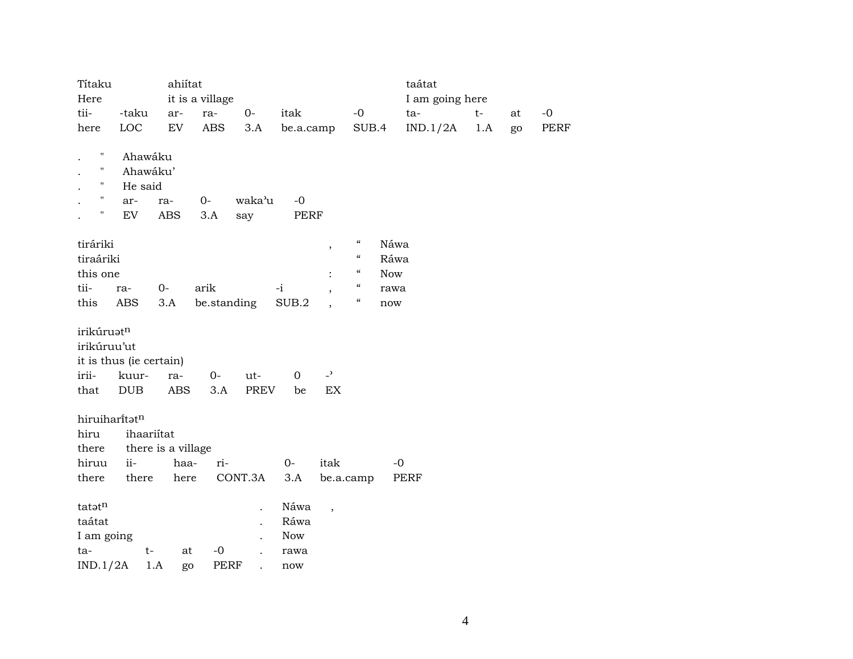| Títaku             |                         | ahiítat            |                   |         |             |                          |                            |            | taátat          |      |    |             |
|--------------------|-------------------------|--------------------|-------------------|---------|-------------|--------------------------|----------------------------|------------|-----------------|------|----|-------------|
| Here               |                         |                    | it is a village   |         |             |                          |                            |            | I am going here |      |    |             |
| tii-               | -taku                   | ar-                | ra-               | $O -$   | itak        |                          | $-0$                       |            | ta-             | $t-$ | at | $-0$        |
| here               | LOC                     | EV                 | ABS               | 3.A     | be.a.camp   |                          | SUB.4                      |            | IND.1/2A        | 1.A  | go | <b>PERF</b> |
| Ħ                  | Ahawáku                 |                    |                   |         |             |                          |                            |            |                 |      |    |             |
| н                  | Ahawáku'                |                    |                   |         |             |                          |                            |            |                 |      |    |             |
| $\mathbf H$        | He said                 |                    |                   |         |             |                          |                            |            |                 |      |    |             |
| $\pmb{\mathsf{H}}$ | ar-                     | ra-                | $0-$              | waka'u  | $-0$        |                          |                            |            |                 |      |    |             |
| 11                 | <b>EV</b>               | <b>ABS</b>         | 3.A               | say     | <b>PERF</b> |                          |                            |            |                 |      |    |             |
| tiráriki           |                         |                    |                   |         |             | $\overline{\phantom{a}}$ | $\boldsymbol{\mathcal{C}}$ | Náwa       |                 |      |    |             |
| tiraáriki          |                         |                    |                   |         |             |                          | $\boldsymbol{\mathcal{C}}$ | Ráwa       |                 |      |    |             |
| this one           |                         |                    |                   |         |             |                          | $\boldsymbol{\mathcal{C}}$ | <b>Now</b> |                 |      |    |             |
| tii-               | ra-                     | $0-$               | arik              |         | $-i$        |                          | $\boldsymbol{\mathcal{C}}$ | rawa       |                 |      |    |             |
| this               | ABS                     | 3.A                | be.standing       |         | SUB.2       |                          | $\boldsymbol{\mathcal{C}}$ | now        |                 |      |    |             |
| irikúruatn         |                         |                    |                   |         |             |                          |                            |            |                 |      |    |             |
| irikúruu'ut        |                         |                    |                   |         |             |                          |                            |            |                 |      |    |             |
|                    | it is thus (ie certain) |                    |                   |         |             |                          |                            |            |                 |      |    |             |
| irii-              | kuur-                   | ra-                | $O -$             | ut-     | $\mathbf 0$ | $\overline{a}$           |                            |            |                 |      |    |             |
| that               | DUB                     | ABS                | 3.A               | PREV    | be          | EX                       |                            |            |                 |      |    |             |
|                    | hiruiharitatn           |                    |                   |         |             |                          |                            |            |                 |      |    |             |
| hiru               | ihaariitat              |                    |                   |         |             |                          |                            |            |                 |      |    |             |
| there              |                         | there is a village |                   |         |             |                          |                            |            |                 |      |    |             |
| hiruu              | ii-                     | haa-               | ri-               |         | $0-$        | itak                     |                            |            | $-0$            |      |    |             |
| there              | there                   | here               |                   | CONT.3A | 3.A         | be.a.camp                |                            |            | PERF            |      |    |             |
| tatatn             |                         |                    |                   |         | Náwa        | $\overline{\phantom{a}}$ |                            |            |                 |      |    |             |
| taátat             |                         |                    |                   |         | Ráwa        |                          |                            |            |                 |      |    |             |
| I am going         |                         |                    |                   |         | <b>Now</b>  |                          |                            |            |                 |      |    |             |
| ta-                | $t-$                    |                    | $-0$<br>at        |         | rawa        |                          |                            |            |                 |      |    |             |
| IND.1/2A           |                         | $1.A$              | <b>PERF</b><br>go |         | now         |                          |                            |            |                 |      |    |             |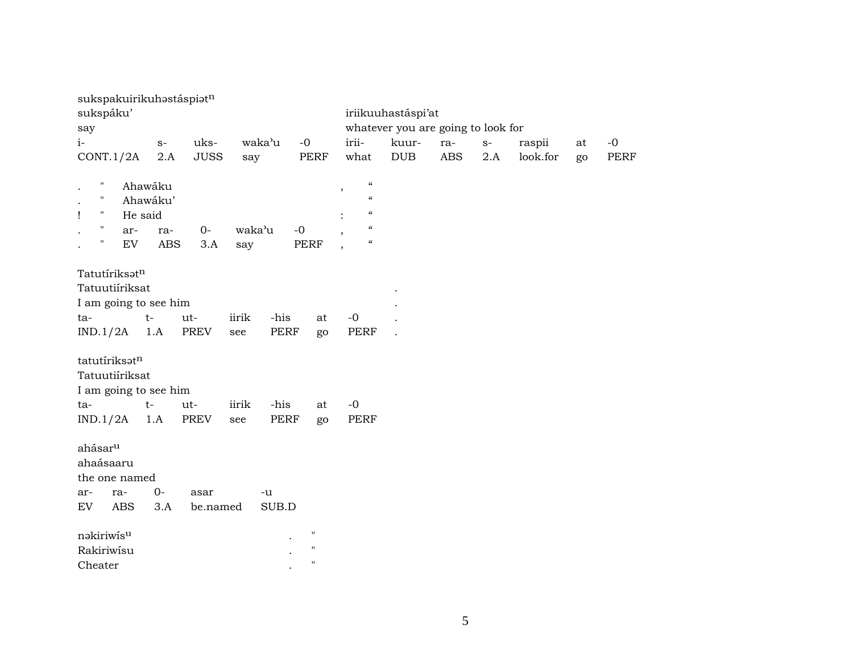| sukspakuirikuhastáspiatn         |                      |             |        |        |                    |                                                      |                                    |            |      |          |    |             |
|----------------------------------|----------------------|-------------|--------|--------|--------------------|------------------------------------------------------|------------------------------------|------------|------|----------|----|-------------|
| sukspáku'                        |                      |             |        |        |                    |                                                      | iriikuuhastáspi'at                 |            |      |          |    |             |
| say                              |                      |             |        |        |                    |                                                      | whatever you are going to look for |            |      |          |    |             |
| $i-$                             | $S-$                 | uks-        |        | waka'u | $-0$               | irii-                                                | kuur-                              | ra-        | $S-$ | raspii   | at | $-0$        |
| CONT.1/2A                        | 2.A                  | <b>JUSS</b> | say    |        | PERF               | what                                                 | <b>DUB</b>                         | <b>ABS</b> | 2.A  | look.for | go | <b>PERF</b> |
| $\pmb{\mathsf{H}}$               | Ahawáku              |             |        |        |                    | $\mathcal{C}\mathcal{C}$<br>$\overline{\phantom{a}}$ |                                    |            |      |          |    |             |
| $\mathbf{H}$                     | Ahawáku'             |             |        |        |                    | $\epsilon$                                           |                                    |            |      |          |    |             |
| п.<br>Ţ                          | He said              |             |        |        |                    | $\mathcal{C}$                                        |                                    |            |      |          |    |             |
| $\mathbf H$<br>ar-               | ra-                  | $O -$       | waka'u |        | $-0$               | $\epsilon\epsilon$                                   |                                    |            |      |          |    |             |
| $\pmb{\mathsf{H}}$<br>${\rm EV}$ | $\operatorname{ABS}$ | 3.A         | say    |        | <b>PERF</b>        | $\boldsymbol{\mathcal{U}}$                           |                                    |            |      |          |    |             |
| Tatutíriksatn                    |                      |             |        |        |                    |                                                      |                                    |            |      |          |    |             |
| Tatuutiíriksat                   |                      |             |        |        |                    |                                                      |                                    |            |      |          |    |             |
| I am going to see him            |                      |             |        |        |                    |                                                      |                                    |            |      |          |    |             |
| ta-                              | $t-$                 | ut-         | iirik  | -his   | at                 | $-0$                                                 |                                    |            |      |          |    |             |
| IND.1/2A                         | 1.A                  | <b>PREV</b> | see    | PERF   | go                 | PERF                                                 |                                    |            |      |          |    |             |
|                                  |                      |             |        |        |                    |                                                      |                                    |            |      |          |    |             |
| tatutíriksatn                    |                      |             |        |        |                    |                                                      |                                    |            |      |          |    |             |
| Tatuutiíriksat                   |                      |             |        |        |                    |                                                      |                                    |            |      |          |    |             |
| I am going to see him            |                      |             |        |        |                    |                                                      |                                    |            |      |          |    |             |
| ta-                              | $t-$                 | $ut-$       | iirik  | -his   | at                 | $-0$                                                 |                                    |            |      |          |    |             |
| IND.1/2A                         | 1.A                  | PREV        | see    | PERF   | go                 | PERF                                                 |                                    |            |      |          |    |             |
|                                  |                      |             |        |        |                    |                                                      |                                    |            |      |          |    |             |
| ahásar <sup>u</sup>              |                      |             |        |        |                    |                                                      |                                    |            |      |          |    |             |
| ahaásaaru                        |                      |             |        |        |                    |                                                      |                                    |            |      |          |    |             |
| the one named                    |                      |             |        |        |                    |                                                      |                                    |            |      |          |    |             |
| ra-<br>ar-                       | $0-$                 | asar        |        | -u     |                    |                                                      |                                    |            |      |          |    |             |
| <b>ABS</b><br>EV                 | 3.A                  | be.named    |        | SUB.D  |                    |                                                      |                                    |            |      |          |    |             |
| nakiriwisu                       |                      |             |        |        | $\pmb{\mathsf{H}}$ |                                                      |                                    |            |      |          |    |             |
| Rakiriwisu                       |                      |             |        |        | $\pmb{\mathsf{H}}$ |                                                      |                                    |            |      |          |    |             |
| Cheater                          |                      |             |        |        | $\pmb{\mathsf{H}}$ |                                                      |                                    |            |      |          |    |             |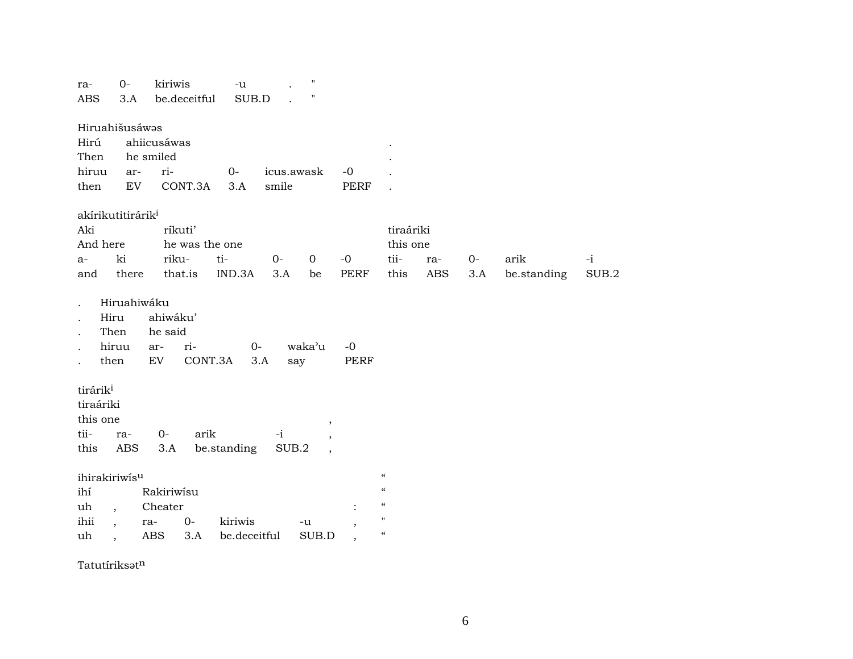| ra-<br><b>ABS</b>                                               | $0-$<br>3.A                     | kiriwis<br>be.deceitful                                    | $-u$<br>SUB.D           |                     | $^{\prime\prime}$<br>н           |                                                       |                                                                                                                                                                                     |                   |             |                     |               |
|-----------------------------------------------------------------|---------------------------------|------------------------------------------------------------|-------------------------|---------------------|----------------------------------|-------------------------------------------------------|-------------------------------------------------------------------------------------------------------------------------------------------------------------------------------------|-------------------|-------------|---------------------|---------------|
| Hiruahišusáwas<br>Hirú<br>Then<br>hiruu<br>then                 | ar-<br>EV                       | ahiicusáwas<br>he smiled<br>ri-<br>CONT.3A                 | $0-$<br>3.A             | icus.awask<br>smile |                                  | $-0$<br><b>PERF</b>                                   |                                                                                                                                                                                     |                   |             |                     |               |
| akírikutitirárik <sup>i</sup><br>Aki<br>And here<br>$a-$<br>and | ki<br>there                     | ríkuti'<br>he was the one<br>riku-<br>that.is              | ti-<br>IND.3A           | $0-$<br>3.A         | $\mathbf 0$<br>be                | $-0$<br><b>PERF</b>                                   | tiraáriki<br>this one<br>tii-<br>this                                                                                                                                               | ra-<br><b>ABS</b> | $0-$<br>3.A | arik<br>be.standing | $-i$<br>SUB.2 |
| Hiru<br>then                                                    | Hiruahiwáku<br>Then<br>hiruu    | ahiwáku'<br>he said<br>ri-<br>ar-<br>${\rm EV}$<br>CONT.3A | $O -$                   | 3.A                 | waka'u<br>say                    | $-0$<br>PERF                                          |                                                                                                                                                                                     |                   |             |                     |               |
| tirárik <sup>i</sup><br>tiraáriki<br>this one<br>tii-<br>this   | ra-<br>$\operatorname{ABS}$     | arik<br>0-<br>3.A                                          | be.standing             | $-i$<br>SUB.2       | $\,$<br>$\overline{\phantom{a}}$ |                                                       |                                                                                                                                                                                     |                   |             |                     |               |
| ihirakiriwisu<br>ihí<br>uh<br>ihii<br>uh                        | $\overline{\phantom{a}}$<br>ra- | Rakiriwisu<br>Cheater<br>$0-$<br><b>ABS</b><br>3.A         | kiriwis<br>be.deceitful |                     | -u<br>SUB.D                      | $\ddot{\cdot}$<br>$\cdot$<br>$\overline{\phantom{a}}$ | $\boldsymbol{\zeta}\boldsymbol{\zeta}$<br>$\boldsymbol{\zeta}\boldsymbol{\zeta}$<br>$\boldsymbol{\zeta}\boldsymbol{\zeta}$<br>$\mathbf H$<br>$\boldsymbol{\zeta}\boldsymbol{\zeta}$ |                   |             |                     |               |

Tatutíriks $\mathfrak{sot}^n$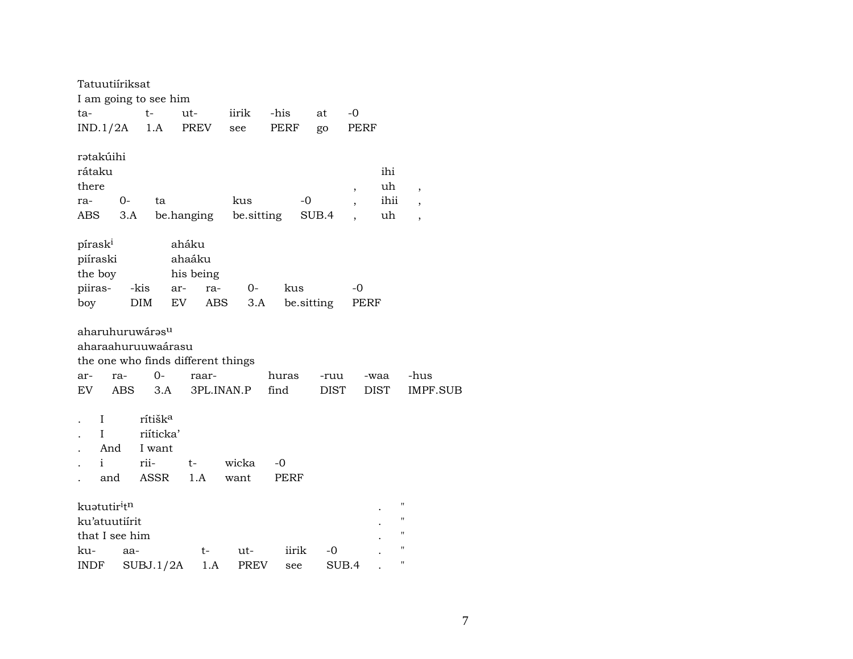|                                            |                           | Tatuutiíriksat                  |                                                            |                                             |               |               |                     |                          |                     |                                     |
|--------------------------------------------|---------------------------|---------------------------------|------------------------------------------------------------|---------------------------------------------|---------------|---------------|---------------------|--------------------------|---------------------|-------------------------------------|
|                                            |                           |                                 | I am going to see him                                      |                                             |               |               |                     |                          |                     |                                     |
| ta-                                        |                           |                                 | $t-$                                                       | ut-                                         | iirik         | -his          | at                  | $-0$                     |                     |                                     |
| IND.1/2A                                   |                           |                                 | 1.A                                                        | PREV                                        | see           | PERF          | go                  | PERF                     |                     |                                     |
| ratakúihi<br>rátaku<br>there<br>ra-        |                           | $0-$                            | ta                                                         |                                             | kus           |               | -0                  | $\overline{\phantom{a}}$ | ihi<br>uh<br>ihii   | $\overline{ }$                      |
| ABS                                        |                           | 3.A                             |                                                            | be.hanging                                  | be sitting    |               | SUB.4               | $\overline{\phantom{a}}$ | uh                  | $\overline{\phantom{a}}$            |
|                                            |                           |                                 |                                                            |                                             |               |               |                     |                          |                     | $\overline{\phantom{a}}$            |
| pírask <sup>i</sup><br>piíraski<br>the boy |                           |                                 |                                                            | aháku<br>ahaáku<br>his being                |               |               |                     |                          |                     |                                     |
|                                            | piiras-                   | -kis                            |                                                            | ra-<br>ar-                                  | $0-$          | kus           |                     | -0                       |                     |                                     |
| boy                                        |                           |                                 | DIM                                                        | EV                                          | ABS<br>3.A    |               | be.sitting          | PERF                     |                     |                                     |
| ar-<br>EV                                  |                           | ra-<br>ABS                      | aharuhuruwárasu<br>aharaahuruuwaárasu<br>$0-$<br>3.A       | the one who finds different things<br>raar- | 3PL.INAN.P    | huras<br>find | -ruu<br><b>DIST</b> |                          | -waa<br><b>DIST</b> | -hus<br><b>IMPF.SUB</b>             |
|                                            | I<br>I<br>And<br>i<br>and |                                 | rítišk <sup>a</sup><br>riíticka'<br>I want<br>rii-<br>ASSR | t-<br>1.A                                   | wicka<br>want | -0<br>PERF    |                     |                          |                     |                                     |
| kuatutiritn                                |                           | ku'atuutiírit<br>that I see him |                                                            |                                             |               |               |                     |                          |                     | $\mathbf{H}$<br>$\blacksquare$<br>п |
| ku-                                        |                           | aa-                             |                                                            | t-                                          | ut-           | iirik         | -0                  |                          |                     | н                                   |
| <b>INDF</b>                                |                           |                                 | SUBJ.1/2A                                                  | 1.A                                         | <b>PREV</b>   | see           |                     | SUB.4                    |                     | н                                   |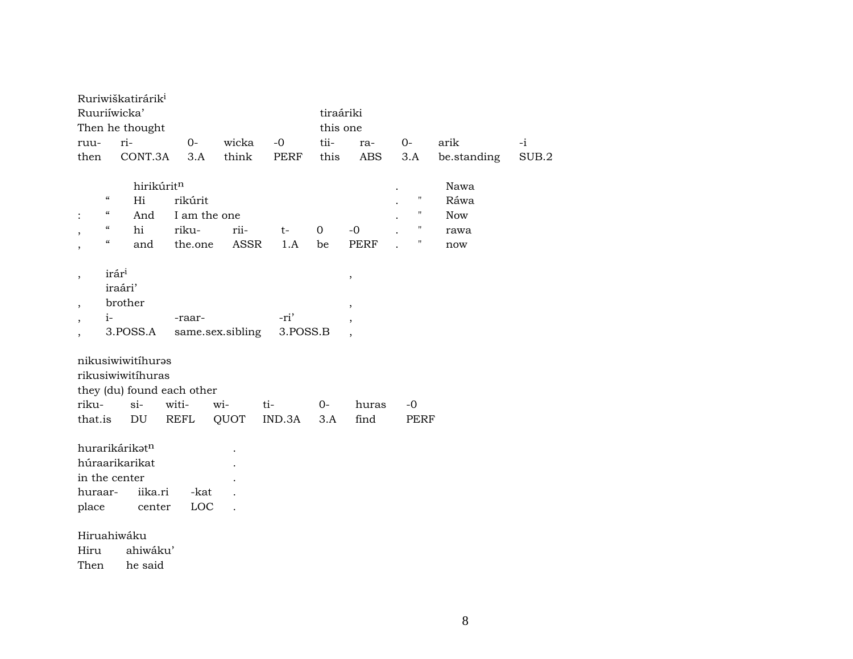|                          |                                        | Ruriwiškatirárik <sup>i</sup><br>Ruuriíwicka' |            |                  |             |             | tiraáriki |                         |      |             |       |
|--------------------------|----------------------------------------|-----------------------------------------------|------------|------------------|-------------|-------------|-----------|-------------------------|------|-------------|-------|
|                          |                                        | Then he thought                               |            |                  |             |             | this one  |                         |      |             |       |
| ruu-                     |                                        | ri-                                           | $0-$       |                  | wicka       | $-0$        | tii-      | ra-                     | $0-$ | arik        | $-i$  |
| then                     |                                        | CONT.3A                                       | 3.A        |                  | think       | <b>PERF</b> | this      | ABS                     | 3.A  | be.standing | SUB.2 |
|                          |                                        |                                               | hirikúritn |                  |             |             |           |                         |      | Nawa        |       |
|                          | $\boldsymbol{\mathcal{C}}$             | Hi                                            | rikúrit    |                  |             |             |           |                         | П    | Ráwa        |       |
|                          | "                                      | And                                           |            | I am the one     |             |             |           |                         | 11   | <b>Now</b>  |       |
|                          | $\boldsymbol{\zeta}\boldsymbol{\zeta}$ | hi                                            | riku-      |                  | rii-        | $t-$        | 0         | $-0$                    | 11   | rawa        |       |
|                          | $\epsilon\epsilon$                     | and                                           | the.one    |                  | <b>ASSR</b> | 1.A         | be        | <b>PERF</b>             | "    | now         |       |
|                          | irári                                  |                                               |            |                  |             |             |           |                         |      |             |       |
| $\overline{\phantom{a}}$ |                                        | iraári'                                       |            |                  |             |             |           | $^\mathrm{^\mathrm{o}}$ |      |             |       |
| $\overline{\phantom{a}}$ |                                        | brother                                       |            |                  |             |             |           | $\, ,$                  |      |             |       |
| $\overline{\phantom{a}}$ | $i-$                                   |                                               | -raar-     |                  |             | -ri'        |           | $^\mathrm{,}$           |      |             |       |
|                          |                                        | 3.POSS.A                                      |            | same.sex.sibling |             | 3.POSS.B    |           |                         |      |             |       |
|                          |                                        | nikusiwiwitíhuras                             |            |                  |             |             |           |                         |      |             |       |
|                          |                                        | rikusiwiwitíhuras                             |            |                  |             |             |           |                         |      |             |       |
|                          |                                        | they (du) found each other                    |            |                  |             |             |           |                         |      |             |       |
| riku-                    |                                        | $\sin$                                        | witi-      | wi-              |             | ti-         | $0-$      | huras                   | $-0$ |             |       |
| that.is                  |                                        | DU                                            | REFL       | QUOT             |             | IND.3A      | 3.A       | find                    | PERF |             |       |
|                          |                                        | hurarikárikatn                                |            |                  |             |             |           |                         |      |             |       |
|                          |                                        | húraarikarikat                                |            |                  |             |             |           |                         |      |             |       |
|                          |                                        | in the center                                 |            |                  |             |             |           |                         |      |             |       |
| huraar-                  |                                        | iika.ri                                       |            | -kat             |             |             |           |                         |      |             |       |
| place                    |                                        | center                                        |            | LOC              |             |             |           |                         |      |             |       |
|                          |                                        | Hiruahiwáku                                   |            |                  |             |             |           |                         |      |             |       |
| Hiru                     |                                        | ahiwáku'                                      |            |                  |             |             |           |                         |      |             |       |
| Then                     |                                        | he said                                       |            |                  |             |             |           |                         |      |             |       |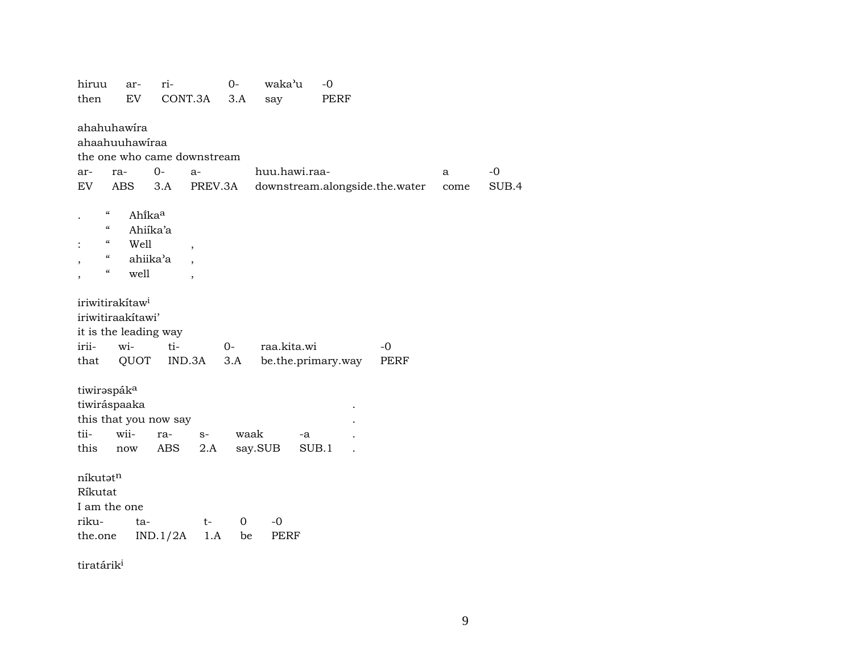| hiruu                   | ar-                                              | ri-      |                          | 0-   | waka'u        | $-0$                           |      |             |      |       |
|-------------------------|--------------------------------------------------|----------|--------------------------|------|---------------|--------------------------------|------|-------------|------|-------|
| then                    | EV                                               |          | CONT.3A                  | 3.A  | say           | <b>PERF</b>                    |      |             |      |       |
|                         | ahahuhawira                                      |          |                          |      |               |                                |      |             |      |       |
|                         | ahaahuuhawiraa                                   |          |                          |      |               |                                |      |             |      |       |
|                         | the one who came downstream                      |          |                          |      |               |                                |      |             |      |       |
| ar-                     | ra-                                              | $0-$     | $a-$                     |      | huu.hawi.raa- |                                |      |             | a    | $-0$  |
| EV                      | ABS                                              | 3.A      | PREV.3A                  |      |               | downstream.alongside.the.water |      |             | come | SUB.4 |
|                         | $\boldsymbol{\zeta}\boldsymbol{\zeta}$<br>Ahikaa |          |                          |      |               |                                |      |             |      |       |
|                         | $\boldsymbol{\zeta}\boldsymbol{\zeta}$           | Ahiíka'a |                          |      |               |                                |      |             |      |       |
|                         | $\epsilon\epsilon$<br>Well                       |          | ,                        |      |               |                                |      |             |      |       |
|                         | $\epsilon\epsilon$                               | ahiika'a |                          |      |               |                                |      |             |      |       |
|                         | $\boldsymbol{\zeta}\boldsymbol{\zeta}$<br>well   |          | $\overline{\phantom{a}}$ |      |               |                                |      |             |      |       |
|                         |                                                  |          |                          |      |               |                                |      |             |      |       |
|                         | iriwitirakítaw <sup>i</sup>                      |          |                          |      |               |                                |      |             |      |       |
|                         | iriwitiraakitawi'                                |          |                          |      |               |                                |      |             |      |       |
|                         | it is the leading way                            |          |                          |      |               |                                |      |             |      |       |
| irii-                   | wi-                                              | ti-      |                          | $0-$ | raa.kita.wi   |                                | $-0$ |             |      |       |
| that                    | QUOT                                             |          | IND.3A                   | 3.A  |               | be.the.primary.way             |      | <b>PERF</b> |      |       |
|                         |                                                  |          |                          |      |               |                                |      |             |      |       |
| tiwirəspák <sup>a</sup> |                                                  |          |                          |      |               |                                |      |             |      |       |
|                         | tiwiráspaaka                                     |          |                          |      |               |                                |      |             |      |       |
|                         | this that you now say                            |          |                          |      |               |                                |      |             |      |       |
| tii-                    | wii-                                             | ra-      | $S-$                     | waak |               | $-a$                           |      |             |      |       |
| this                    | now                                              | ABS      | 2.A                      |      | say.SUB       | SUB.1                          |      |             |      |       |
| níkutatn                |                                                  |          |                          |      |               |                                |      |             |      |       |
| Ríkutat                 |                                                  |          |                          |      |               |                                |      |             |      |       |
|                         | I am the one                                     |          |                          |      |               |                                |      |             |      |       |
| riku-                   | ta-                                              |          | $t-$                     | 0    | $-0$          |                                |      |             |      |       |
| the.one                 |                                                  | IND.1/2A | 1.A                      | be   | PERF          |                                |      |             |      |       |
|                         |                                                  |          |                          |      |               |                                |      |             |      |       |
|                         |                                                  |          |                          |      |               |                                |      |             |      |       |

tiratárik $^{\rm i}$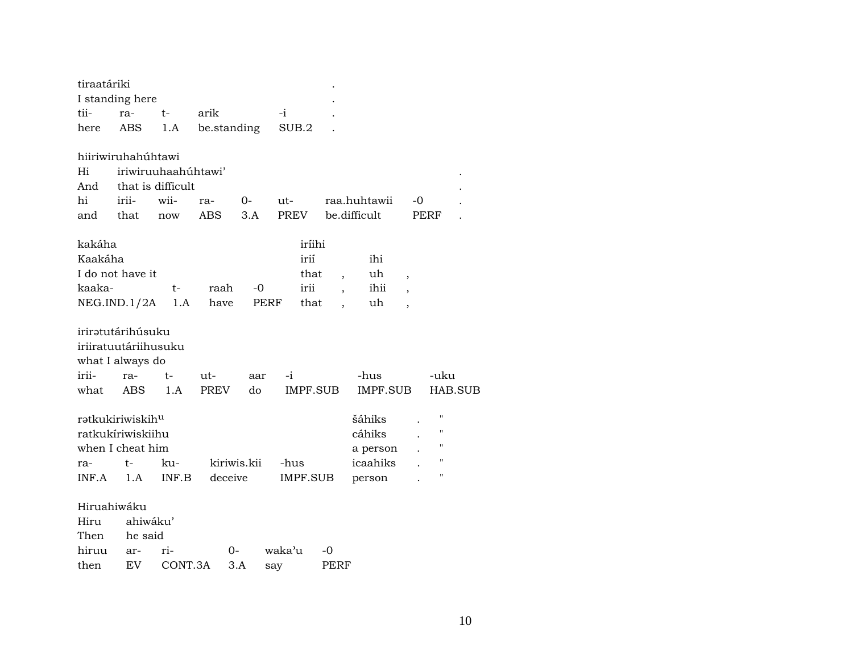| tiraatáriki                                                           |            |                     |             |             |        |                 |                |                              |                          |                                                                |                |
|-----------------------------------------------------------------------|------------|---------------------|-------------|-------------|--------|-----------------|----------------|------------------------------|--------------------------|----------------------------------------------------------------|----------------|
| I standing here                                                       |            |                     |             |             |        |                 |                |                              |                          |                                                                |                |
| tii-                                                                  | ra-        | t-                  | arik        |             | -i     |                 |                |                              |                          |                                                                |                |
| here                                                                  | ABS        | 1.A                 | be.standing |             | SUB.2  |                 |                |                              |                          |                                                                |                |
| hiiriwiruhahúhtawi                                                    |            |                     |             |             |        |                 |                |                              |                          |                                                                |                |
| Hi                                                                    |            | iriwiruuhaahúhtawi' |             |             |        |                 |                |                              |                          |                                                                |                |
| And                                                                   |            | that is difficult   |             |             |        |                 |                |                              |                          |                                                                |                |
| hi                                                                    | irii-      | wii-                | ra-         | $0-$        | ut-    |                 |                | raa.huhtawii                 | -0                       |                                                                |                |
| and                                                                   | that       | now                 | <b>ABS</b>  | 3.A         | PREV   |                 |                | be.difficult                 |                          | PERF                                                           |                |
| kakáha                                                                |            |                     |             |             |        | iríihi          |                |                              |                          |                                                                |                |
| Kaakáha                                                               |            |                     |             |             |        | irií            |                | ihi                          |                          |                                                                |                |
| I do not have it                                                      |            |                     |             |             |        | that            | $\overline{ }$ | uh                           | $\overline{\phantom{a}}$ |                                                                |                |
| kaaka-                                                                |            | t-                  | raah        | -0          |        | irii            |                | ihii                         | $\overline{ }$           |                                                                |                |
| NEG.ID.1/2A                                                           |            | 1.A                 | have        |             | PERF   | that            |                | uh                           | $\overline{\phantom{a}}$ |                                                                |                |
| iriratutárihúsuku<br>iriiratuutáriihusuku<br>what I always do         |            |                     |             |             |        |                 |                |                              |                          |                                                                |                |
| irii-                                                                 | ra-        | t-                  | ut-         | aar         | -i     |                 |                | -hus                         |                          | -uku                                                           |                |
| what                                                                  | <b>ABS</b> | 1.A                 | <b>PREV</b> | do          |        | <b>IMPF.SUB</b> |                | IMPF.SUB                     |                          |                                                                | <b>HAB.SUB</b> |
| rətkukiriwiskih <sup>u</sup><br>ratkukíriwiskiihu<br>when I cheat him |            |                     |             |             |        |                 |                | šáhiks<br>cáhiks<br>a person |                          | $\pmb{\mathsf{H}}$<br>$\pmb{\mathsf{H}}$<br>$\pmb{\mathsf{H}}$ |                |
| ra-                                                                   | t-         | ku-                 |             | kiriwis.kii | -hus   |                 |                | icaahiks                     |                          | $\mathbf{H}$                                                   |                |
| INF.A                                                                 | 1.A        | INF.B               | deceive     |             |        | IMPF.SUB        |                | person                       |                          | $\pmb{\mathsf{H}}$                                             |                |
| Hiruahiwáku                                                           |            |                     |             |             |        |                 |                |                              |                          |                                                                |                |
| Hiru                                                                  | ahiwáku'   |                     |             |             |        |                 |                |                              |                          |                                                                |                |
| Then                                                                  | he said    |                     |             |             |        |                 |                |                              |                          |                                                                |                |
| hiruu                                                                 | ar-        | ri-                 | 0-          |             | waka'u | -0              |                |                              |                          |                                                                |                |
| then                                                                  | <b>EV</b>  | CONT.3A             |             | 3.A         | say    |                 | PERF           |                              |                          |                                                                |                |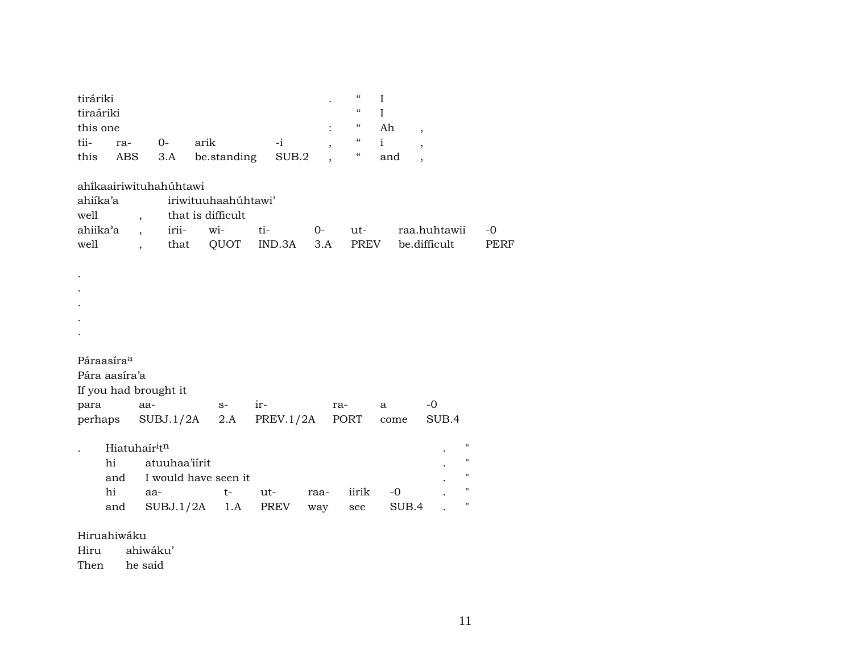| tiráriki<br>tiraáriki<br>this one                                |                                                                                  |                            |                                                         |                  |             | $\epsilon$<br>$\mathbf I$<br>$\epsilon$<br>$\mathbf I$<br>$\epsilon$<br>$\epsilon$ | Ah<br>$\overline{\phantom{a}}$                              |                                                                                                      |              |
|------------------------------------------------------------------|----------------------------------------------------------------------------------|----------------------------|---------------------------------------------------------|------------------|-------------|------------------------------------------------------------------------------------|-------------------------------------------------------------|------------------------------------------------------------------------------------------------------|--------------|
| tii-<br>ra-<br>this                                              | $0-$<br>ABS                                                                      | 3.A                        | arik<br>be.standing                                     | $-i$<br>SUB.2    |             | $\mathbf{i}$<br>$\epsilon\epsilon$                                                 | $\overline{\phantom{a}}$<br>and<br>$\overline{\phantom{a}}$ |                                                                                                      |              |
| ahîkaairiwituhahúhtawi<br>ahiíka'a<br>well<br>ahiika'a<br>well   | $\overline{\phantom{a}}$<br>$\overline{\phantom{a}}$<br>$\overline{\phantom{a}}$ | irii-<br>that              | iriwituuhaahuhtawi'<br>that is difficult<br>wi-<br>QUOT | ti-<br>IND.3A    | $0-$<br>3.A | ut-<br>PREV                                                                        |                                                             | raa.huhtawii<br>be.difficult                                                                         | $-0$<br>PERF |
|                                                                  |                                                                                  |                            |                                                         |                  |             |                                                                                    |                                                             |                                                                                                      |              |
| Páraasíra <sup>a</sup><br>Pára aasíra'a<br>If you had brought it |                                                                                  |                            |                                                         |                  |             |                                                                                    |                                                             |                                                                                                      |              |
| para<br>perhaps                                                  | aa-                                                                              | SUBJ.1/2A                  | $S-$<br>2.A                                             | ir-<br>PREV.1/2A | ra-         | PORT                                                                               | a<br>come                                                   | $-0$<br>SUB.4                                                                                        |              |
| hi<br>and<br>hi<br>and                                           | Hiatuhaíritn<br>aa-                                                              | atuuhaa'iirit<br>SUBJ.1/2A | I would have seen it<br>$t-$<br>1.A                     | ut-<br>PREV      | raa-<br>way | iirik<br>see                                                                       | $-0$<br>SUB.4                                               | $\pmb{\mathsf{H}}$<br>$\pmb{\mathsf{H}}$<br>$\mathbf{H}$<br>$\pmb{\mathsf{H}}$<br>$\pmb{\mathsf{H}}$ |              |
| Hiruahiwáku<br>Hiru                                              | ahiwáku'                                                                         |                            |                                                         |                  |             |                                                                                    |                                                             |                                                                                                      |              |

Then he said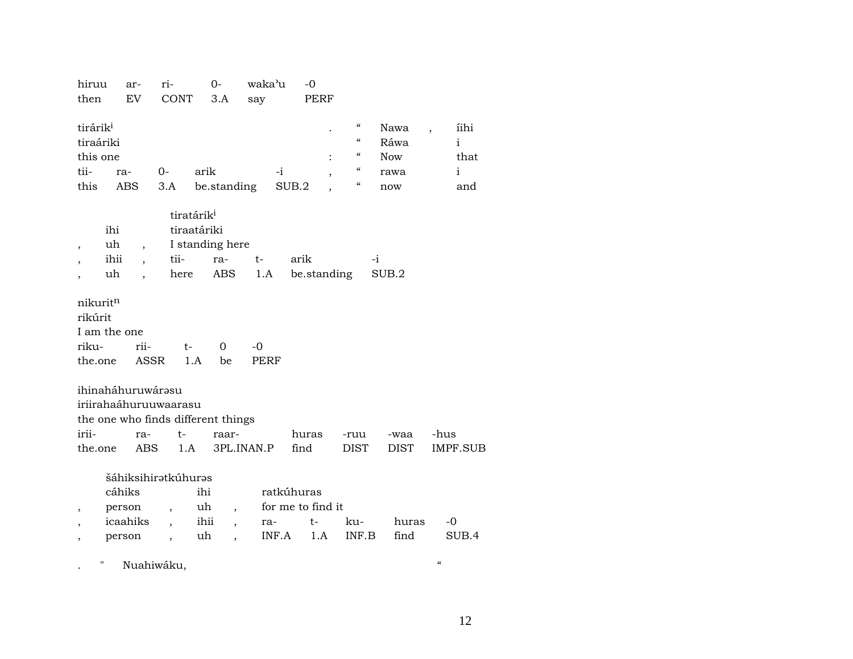| hiruu<br>then                                                                                                                   | ar-<br>EV                              | ri-<br>CONT                                                                                     | $0-$<br>3.A                                                                                       | waka'u<br>say             | $-0$<br>PERF                                 |                                                                                                                                                                                                    |                                           |                                                                  |
|---------------------------------------------------------------------------------------------------------------------------------|----------------------------------------|-------------------------------------------------------------------------------------------------|---------------------------------------------------------------------------------------------------|---------------------------|----------------------------------------------|----------------------------------------------------------------------------------------------------------------------------------------------------------------------------------------------------|-------------------------------------------|------------------------------------------------------------------|
| tirárik <sup>i</sup><br>tiraáriki<br>this one<br>tii-<br>this                                                                   | ra-<br>ABS                             | $0-$<br>3.A                                                                                     | arik<br>be.standing                                                                               | -i                        | SUB.2                                        | $\boldsymbol{\zeta}\boldsymbol{\zeta}$<br>$\boldsymbol{\zeta}\boldsymbol{\zeta}$<br>$\boldsymbol{\zeta}\boldsymbol{\zeta}$<br>$\boldsymbol{\mathcal{C}}$<br>$\boldsymbol{\zeta}\boldsymbol{\zeta}$ | Nawa<br>Ráwa<br><b>Now</b><br>rawa<br>now | íihi<br>$\ddot{\phantom{0}}$<br>$\mathbf{i}$<br>that<br>i<br>and |
| ihi<br>uh<br>$\overline{\phantom{a}}$<br>ihii<br>uh<br>$\overline{\phantom{a}}$<br>nikuritn<br>rikúrit<br>I am the one<br>riku- | $\overline{ }$<br>rii-                 | tii-<br>here<br>t-                                                                              | tiratárik <sup>i</sup><br>tiraatáriki<br>I standing here<br>ra-<br>ABS<br>0                       | t-<br>1.A<br>$-0$         | arik<br>be.standing                          | -i                                                                                                                                                                                                 | SUB.2                                     |                                                                  |
| the.one<br>ihinaháhuruwárasu<br>iriirahaáhuruuwaarasu<br>irii-<br>the.one                                                       | <b>ASSR</b><br>ra-<br><b>ABS</b>       | $t-$<br>1.A                                                                                     | 1.A<br>be<br>the one who finds different things<br>raar-                                          | <b>PERF</b><br>3PL.INAN.P | huras<br>find                                | -ruu<br><b>DIST</b>                                                                                                                                                                                | -waa<br><b>DIST</b>                       | -hus<br>IMPF.SUB                                                 |
| ,<br>$\overline{\phantom{a}}$                                                                                                   | cáhiks<br>person<br>icaahiks<br>person | šáhiksihirətkúhurəs<br>$\overline{\phantom{a}}$<br>$\overline{\phantom{a}}$<br>$\overline{ }$ , | ihi<br>uh<br>$\overline{ }$<br>ihii<br>$\overline{\phantom{a}}$<br>uh<br>$\overline{\phantom{a}}$ | ra-<br>INF.A              | ratkúhuras<br>for me to find it<br>t-<br>1.A | ku-<br>INF.B                                                                                                                                                                                       | huras<br>find                             | -0<br>SUB.4                                                      |

. " Nuahiwáku, "

12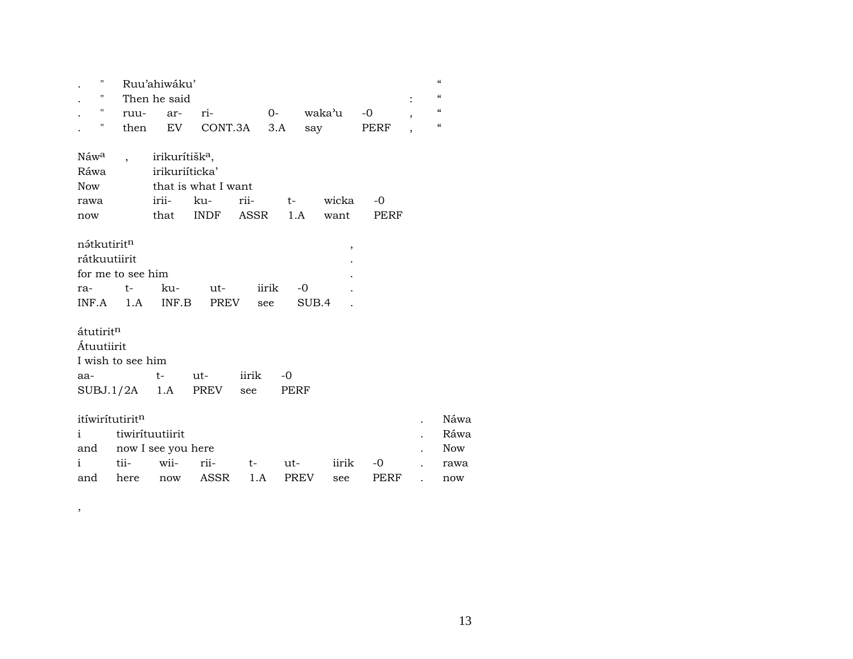| "                        |                      | Ruu'ahiwáku'                                 |                     |                   |      |                      |            |                | $\epsilon$                             |
|--------------------------|----------------------|----------------------------------------------|---------------------|-------------------|------|----------------------|------------|----------------|----------------------------------------|
| 11                       |                      | Then he said                                 |                     |                   |      |                      |            |                | $\pmb{\zeta}\pmb{\zeta}$               |
| $\pmb{\mathsf{H}}$       | ruu-                 | ar-                                          | ri-                 |                   | $0-$ | waka'u               | $-0$       | $\overline{ }$ | $\epsilon$                             |
| $\pmb{\pi}$              | then                 | EV                                           |                     | CONT.3A 3.A       |      | say                  | PERF       | $\overline{ }$ | $\boldsymbol{\zeta}\boldsymbol{\zeta}$ |
| Náw <sup>a</sup><br>Ráwa | $\ddot{\phantom{0}}$ | irikurítišk <sup>a</sup> ,<br>irikuriíticka' |                     |                   |      |                      |            |                |                                        |
| <b>Now</b>               |                      |                                              | that is what I want |                   |      |                      |            |                |                                        |
| rawa                     |                      |                                              | irii- ku-           | rii-              | $t-$ | wicka                | $-0$       |                |                                        |
| now                      |                      |                                              | that INDF ASSR      |                   |      | 1.A<br>want          | PERF       |                |                                        |
|                          |                      |                                              |                     |                   |      |                      |            |                |                                        |
| nátkutirit <sup>n</sup>  |                      |                                              |                     |                   |      |                      | $\,$       |                |                                        |
| rátkuutiirit             |                      |                                              |                     |                   |      |                      |            |                |                                        |
|                          | for me to see him    |                                              |                     |                   |      |                      |            |                |                                        |
|                          |                      |                                              |                     |                   |      |                      |            |                |                                        |
| ra-                      | $t-$                 |                                              | ku- ut-             | iirik             |      | -0                   |            |                |                                        |
|                          | $INF.A$ 1.A          |                                              | INF.B PREV          | see               |      | SUB.4                |            |                |                                        |
|                          |                      |                                              |                     |                   |      |                      |            |                |                                        |
| átutiritn                |                      |                                              |                     |                   |      |                      |            |                |                                        |
| Átuutiirit               |                      |                                              |                     |                   |      |                      |            |                |                                        |
|                          | I wish to see him    |                                              |                     |                   |      |                      |            |                |                                        |
| aa-                      |                      | $t-$                                         | ut-                 | iirik             | $-0$ |                      |            |                |                                        |
|                          | $SUBJ.1/2A$ 1.A      |                                              | PREV                | see               | PERF |                      |            |                |                                        |
|                          |                      |                                              |                     |                   |      |                      |            |                |                                        |
| itíwirítutiritn          |                      |                                              |                     |                   |      |                      |            |                | Náwa                                   |
| i.                       |                      | tiwirituutiirit                              |                     |                   |      |                      |            |                | Ráwa                                   |
| and                      |                      | now I see you here                           |                     |                   |      |                      |            |                | Now                                    |
| i<br>and                 | tii-<br>here         | wii-<br>now                                  | rii-<br>ASSR        | $t \qquad$<br>1.A | ut-  | iirik<br>PREV<br>see | -0<br>PERF |                | rawa<br>now                            |

,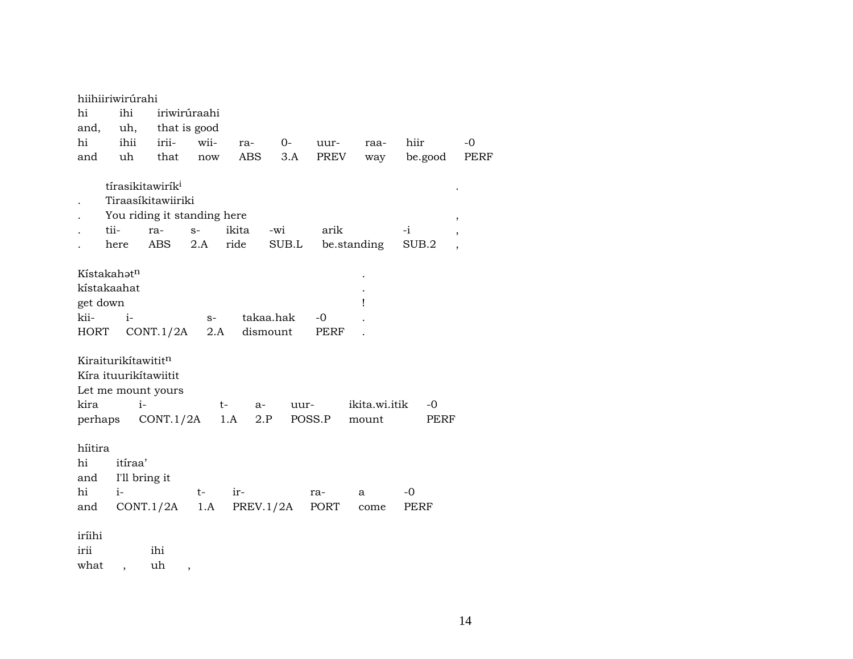|                            | hiihiiriwirúrahi                             |                             |              |            |             |        |               |         |                          |
|----------------------------|----------------------------------------------|-----------------------------|--------------|------------|-------------|--------|---------------|---------|--------------------------|
| hi                         | ihi                                          |                             | iriwirúraahi |            |             |        |               |         |                          |
| and,                       | uh,                                          |                             | that is good |            |             |        |               |         |                          |
| hi                         | ihii                                         | irii-                       | wii-         | ra-        | $O-$        | uur-   | raa-          | hiir    | $-0$                     |
| and                        | uh                                           | that                        | now          | ABS        | 3.A         | PREV   | way           | be.good | <b>PERF</b>              |
|                            | tírasikitawirík <sup>i</sup>                 |                             |              |            |             |        |               |         |                          |
|                            |                                              | Tiraasíkitawiiriki          |              |            |             |        |               |         |                          |
|                            |                                              | You riding it standing here |              |            |             |        |               |         | ,                        |
|                            | tii-                                         | ra-                         | $S-$         | ikita      | -wi         | arik   |               | $-i$    | ,                        |
|                            | here                                         | ABS                         | 2.A          | ride       | $\rm SUB.L$ |        | be.standing   | SUB.2   | $\overline{\phantom{a}}$ |
|                            |                                              |                             |              |            |             |        |               |         |                          |
|                            | Kístakahatn                                  |                             |              |            |             |        |               |         |                          |
|                            | kístakaahat                                  |                             |              |            |             |        |               |         |                          |
| get down                   |                                              |                             |              |            |             |        | ı             |         |                          |
| kii-                       | $i-$                                         |                             | $S-$         |            | takaa.hak   | $-0$   |               |         |                          |
| HORT                       |                                              | CONT.1/2A                   | 2.A          | dismount   |             | PERF   |               |         |                          |
|                            | Kiraiturikítawititn<br>Kíra ituurikítawiitit | Let me mount yours          |              |            |             |        |               |         |                          |
| kira                       | $i-$                                         |                             | $t-$         | a-         | uur-        |        | ikita.wi.itik | -0      |                          |
| perhaps                    |                                              | CONT.1/2A                   |              | 1.A<br>2.P |             | POSS.P | mount         | PERF    |                          |
| híitira<br>hi<br>and<br>hi | itíraa'<br>I'll bring it<br>$i-$             |                             | t-           | ir-        |             | ra-    | a             | -0      |                          |
| and                        |                                              | CONT.1/2A                   | 1.A          | PREV.1/2A  |             | PORT   | come          | PERF    |                          |
| iríihi<br>irii<br>what     |                                              | ihi<br>uh                   | $\, ,$       |            |             |        |               |         |                          |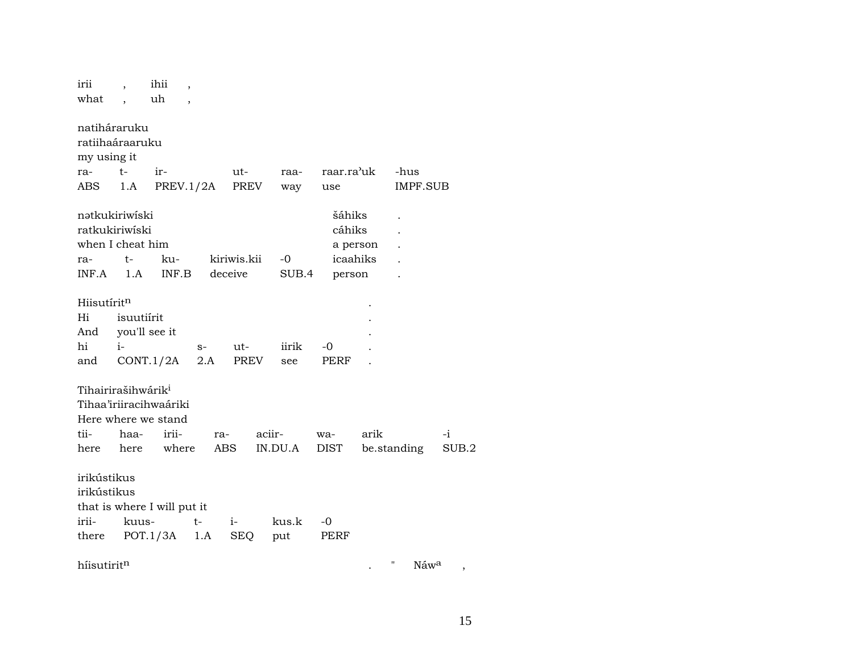| irii                    |                                | ihii                        | $\overline{\phantom{a}}$ |             |         |            |          |                       |       |
|-------------------------|--------------------------------|-----------------------------|--------------------------|-------------|---------|------------|----------|-----------------------|-------|
| what                    |                                | uh                          | $\overline{\phantom{a}}$ |             |         |            |          |                       |       |
|                         |                                |                             |                          |             |         |            |          |                       |       |
|                         | natiháraruku                   |                             |                          |             |         |            |          |                       |       |
|                         | ratiihaáraaruku                |                             |                          |             |         |            |          |                       |       |
| my using it             |                                |                             |                          |             |         |            |          |                       |       |
| ra-                     | $t-$                           | ir-                         |                          | ut-         | raa-    | raar.ra'uk |          | -hus                  |       |
| ABS                     | 1.A                            | PREV.1/2A                   |                          | PREV        | way     | use        |          | <b>IMPF.SUB</b>       |       |
|                         |                                |                             |                          |             |         |            |          |                       |       |
|                         | natkukiriwiski                 |                             |                          |             |         | šáhiks     |          |                       |       |
|                         | ratkukiriwiski                 |                             |                          |             |         | cáhiks     |          |                       |       |
|                         | when I cheat him               |                             |                          |             |         |            | a person |                       |       |
| ra-                     | t-                             | ku-                         |                          | kiriwis.kii | -0      | icaahiks   |          |                       |       |
| INF.A                   | 1.A                            | INF.B                       |                          | deceive     | SUB.4   | person     |          |                       |       |
| Hiisutírit <sup>n</sup> |                                |                             |                          |             |         |            |          |                       |       |
| Hi                      | isuutiírit                     |                             |                          |             |         |            |          |                       |       |
| And                     |                                | you'll see it               |                          |             |         |            |          |                       |       |
| hi                      | $i-$                           |                             | $S-$                     | ut-         | iirik   | -0         |          |                       |       |
| and                     |                                | CONT.1/2A                   | 2.A                      | PREV        | see     | PERF       |          |                       |       |
|                         |                                |                             |                          |             |         |            |          |                       |       |
|                         | Tihairirašihwárik <sup>i</sup> |                             |                          |             |         |            |          |                       |       |
|                         |                                | Tihaa'iriiracihwaáriki      |                          |             |         |            |          |                       |       |
|                         |                                | Here where we stand         |                          |             |         |            |          |                       |       |
| tii-                    | haa-                           | irii-                       |                          | ra-         | aciir-  | wa-        | arik     |                       | -i    |
| here                    | here                           | where                       |                          | ABS.        | IN.DU.A | DIST       |          | be.standing           | SUB.2 |
|                         |                                |                             |                          |             |         |            |          |                       |       |
| irikústikus             |                                |                             |                          |             |         |            |          |                       |       |
| irikústikus             |                                |                             |                          |             |         |            |          |                       |       |
|                         |                                | that is where I will put it |                          |             |         |            |          |                       |       |
| irii-                   | kuus-                          |                             | $t-$                     | $i-$        | kus.k   | -0         |          |                       |       |
| there                   |                                | POT.1/3A                    | 1.A                      | SEQ         | put     | PERF       |          |                       |       |
|                         |                                |                             |                          |             |         |            |          |                       |       |
| hiisutiritn             |                                |                             |                          |             |         |            |          | П<br>Náw <sup>a</sup> | ,     |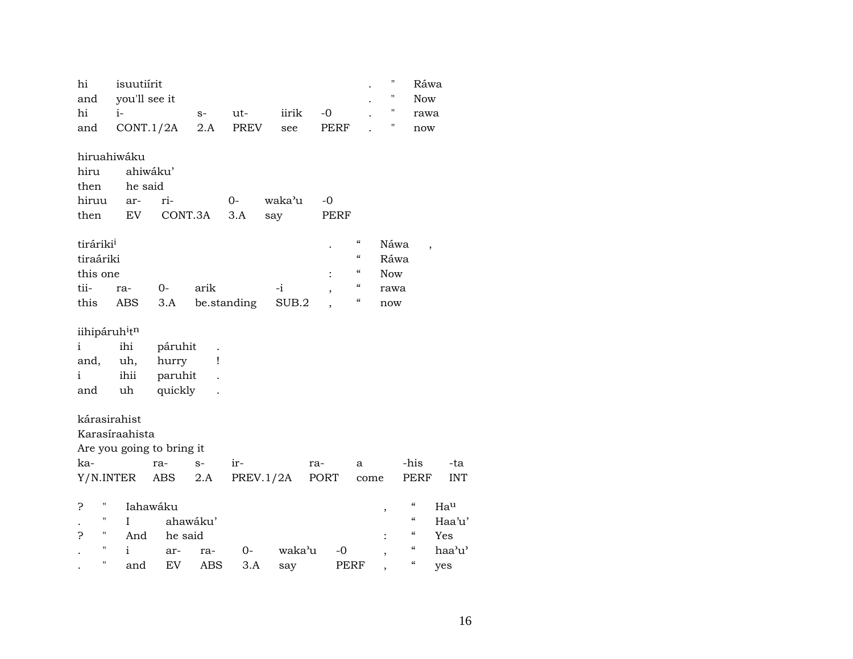| hi<br>and                             | isuutiírit<br>you'll see it |          |                      |             |           |             |                          | $\pmb{\mathsf{H}}$<br>"  | Ráwa<br><b>Now</b>                     |                          |
|---------------------------------------|-----------------------------|----------|----------------------|-------------|-----------|-------------|--------------------------|--------------------------|----------------------------------------|--------------------------|
| hi                                    | $i-$                        |          |                      |             | iirik     | $-0$        |                          | $\pmb{\mathsf{H}}$       |                                        |                          |
| and                                   | CONT.1/2A                   |          | $S-$<br>2.A          | ut-<br>PREV | see       | <b>PERF</b> |                          | П                        | rawa<br>$\operatorname{now}$           |                          |
|                                       |                             |          |                      |             |           |             |                          |                          |                                        |                          |
|                                       | hiruahiwáku                 |          |                      |             |           |             |                          |                          |                                        |                          |
| hiru                                  |                             | ahiwáku' |                      |             |           |             |                          |                          |                                        |                          |
| then                                  | he said                     |          |                      |             |           |             |                          |                          |                                        |                          |
| hiruu                                 | ar-                         | ri-      |                      | $0-$        | waka'u    | $-0$        |                          |                          |                                        |                          |
| then                                  | EV                          |          | CONT.3A              | 3.A         | say       | PERF        |                          |                          |                                        |                          |
| tiráriki <sup>i</sup>                 |                             |          |                      |             |           |             | $\mathcal{C}\mathcal{C}$ | Náwa                     |                                        |                          |
| tiraáriki                             |                             |          |                      |             |           |             | $\pmb{\zeta}\pmb{\zeta}$ | Ráwa                     |                                        | $\overline{\phantom{a}}$ |
| this one                              |                             |          |                      |             |           |             | $\mathcal{C}\mathcal{C}$ | <b>Now</b>               |                                        |                          |
| tii-                                  | ra-                         | $O -$    | arik                 |             | $-i$      |             | $\epsilon\epsilon$       | rawa                     |                                        |                          |
| this                                  | ABS                         | 3.A      |                      | be.standing | SUB.2     |             | $\epsilon\epsilon$       | now                      |                                        |                          |
|                                       |                             |          |                      |             |           |             |                          |                          |                                        |                          |
| iihipáruh <sup>i</sup> t <sup>n</sup> |                             |          |                      |             |           |             |                          |                          |                                        |                          |
| $\mathbf{i}$                          | ihi                         | páruhit  | $\ddot{\phantom{0}}$ |             |           |             |                          |                          |                                        |                          |
| and,                                  | uh,                         | hurry    | 1                    |             |           |             |                          |                          |                                        |                          |
| i                                     | ihii                        | paruhit  |                      |             |           |             |                          |                          |                                        |                          |
| and                                   | uh                          | quickly  |                      |             |           |             |                          |                          |                                        |                          |
| kárasirahist                          |                             |          |                      |             |           |             |                          |                          |                                        |                          |
|                                       | Karasíraahista              |          |                      |             |           |             |                          |                          |                                        |                          |
|                                       |                             |          |                      |             |           |             |                          |                          |                                        |                          |
|                                       | Are you going to bring it   |          |                      |             |           |             |                          |                          |                                        |                          |
| ka-                                   |                             | ra-      | $S-$                 | ir-         |           | ra-         | a                        |                          | -his                                   | -ta                      |
|                                       | Y/N.INTER                   | ABS      | 2.A                  |             | PREV.1/2A | PORT        | come                     |                          | PERF                                   | <b>INT</b>               |
| Ħ<br>Ċ.                               |                             | Iahawáku |                      |             |           |             |                          | ,                        | $\pmb{\zeta}\pmb{\zeta}$               | Hau                      |
| П                                     | I                           |          | ahawáku'             |             |           |             |                          |                          | $\zeta\zeta$                           | Haa'u'                   |
| н<br>Ċ.                               | And                         | he said  |                      |             |           |             |                          |                          | $\boldsymbol{\zeta}\boldsymbol{\zeta}$ | Yes                      |
| П                                     | i                           | ar-      | ra-                  | $0-$        | waka'u    | -0          |                          | $\overline{\phantom{a}}$ | $\pmb{\zeta}\pmb{\zeta}$               | haa'u'                   |
| "                                     | and                         | EV       | ABS                  | 3.A         | say       |             | <b>PERF</b>              |                          | $\boldsymbol{\zeta}\boldsymbol{\zeta}$ | yes                      |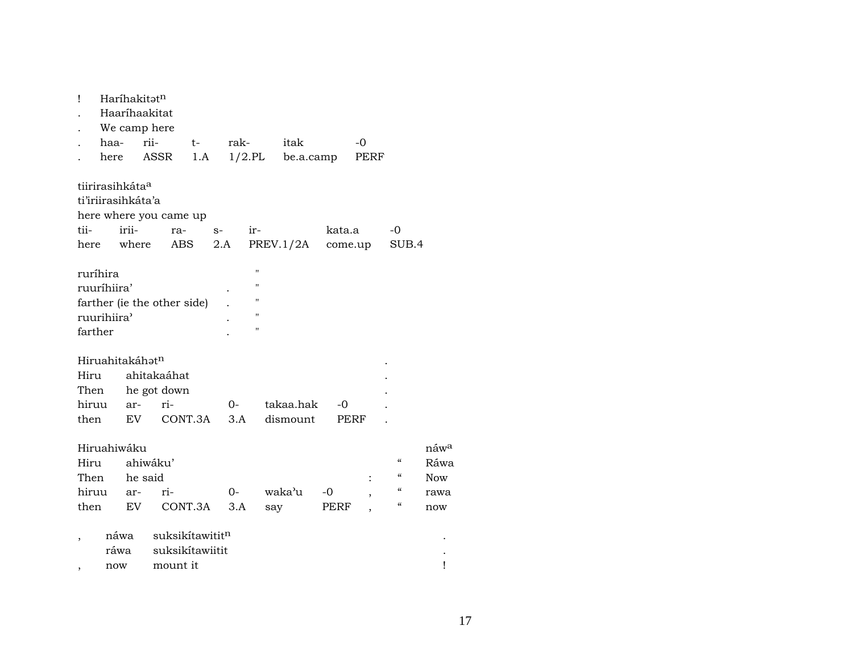| Ţ                   |                             | Haríhakitatn<br>Haaríhaakitat<br>We camp here                       |          |                                    |             |                                    |           |        |         |                          |                  |
|---------------------|-----------------------------|---------------------------------------------------------------------|----------|------------------------------------|-------------|------------------------------------|-----------|--------|---------|--------------------------|------------------|
|                     | haa-                        | rii-                                                                |          | $t-$                               | rak-        |                                    | itak      |        | -0      |                          |                  |
|                     | here                        |                                                                     | ASSR     | 1.A                                |             | $1/2$ .PL                          | be.a.camp |        | PERF    |                          |                  |
| tii-                | tiirirasihkáta <sup>a</sup> | ti'iriirasihkáta'a<br>here where you came up<br>irii-<br>here where | $ra-$    | ABS                                | $S-$<br>2.A | ir-                                | PREV.1/2A | kata.a | come.up | -0<br>SUB.4              |                  |
| ruríhira<br>farther | ruuríhiira'<br>ruurihiira'  | farther (ie the other side)                                         |          |                                    |             | н<br>п<br>п<br>н<br>$\blacksquare$ |           |        |         |                          |                  |
|                     |                             | Hiruahitakáhət <sup>n</sup>                                         |          |                                    |             |                                    |           |        |         |                          |                  |
| Hiru                |                             | ahitakaáhat                                                         |          |                                    |             |                                    |           |        |         |                          |                  |
| Then                |                             | he got down                                                         |          |                                    |             |                                    |           |        |         |                          |                  |
| hiruu               |                             | ar- ri-                                                             |          |                                    | 0-          |                                    | takaa.hak | -0     |         |                          |                  |
| then                |                             | EV                                                                  |          | CONT.3A                            | 3.A         |                                    | dismount  |        | PERF    |                          |                  |
|                     | Hiruahiwáku                 |                                                                     |          |                                    |             |                                    |           |        |         |                          | náw <sup>a</sup> |
| Hiru                |                             | ahiwáku'                                                            |          |                                    |             |                                    |           |        |         | "                        | Ráwa             |
| Then                |                             | he said                                                             |          |                                    |             |                                    |           |        |         | "                        | Now              |
|                     | hiruu ar-                   |                                                                     | ri-      |                                    | 0-          |                                    | waka'u    | -0     |         | $\mathcal{C}\mathcal{C}$ | rawa             |
| then                |                             | EV                                                                  |          | CONT.3A                            | 3.A         |                                    | say       | PERF   |         | $\epsilon\epsilon$       | now              |
|                     | náwa<br>ráwa                |                                                                     |          | suksikítawititn<br>suksikítawiitit |             |                                    |           |        |         |                          |                  |
| ,                   | now                         |                                                                     | mount it |                                    |             |                                    |           |        |         |                          | Ţ                |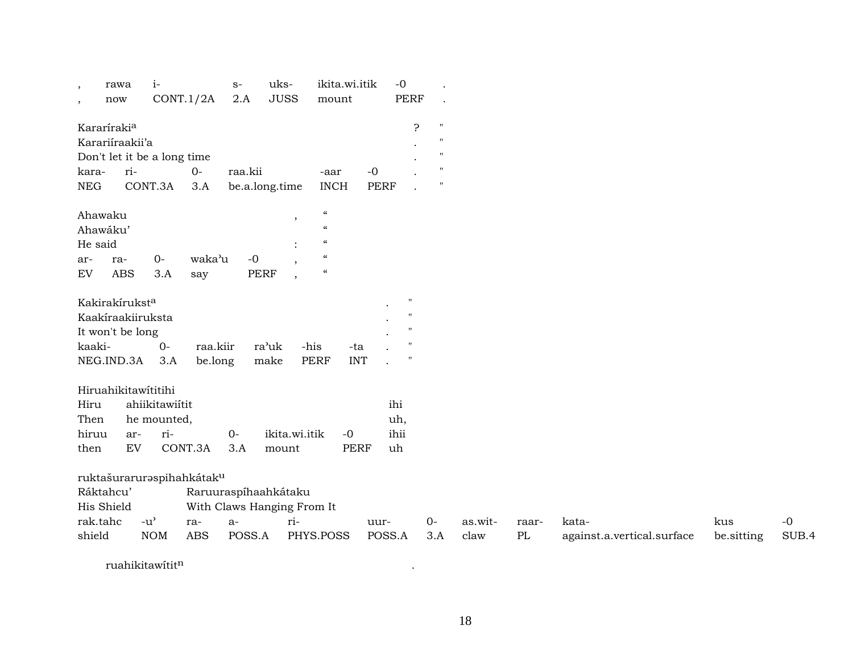| $\cdot$    | rawa                        | $i-$                                |            | $S-$        | uks-                       | ikita.wi.itik              |             | $-0$               |              |         |          |                            |            |       |
|------------|-----------------------------|-------------------------------------|------------|-------------|----------------------------|----------------------------|-------------|--------------------|--------------|---------|----------|----------------------------|------------|-------|
| $\cdot$    | now                         | CONT.1/2A                           |            | 2.A         | <b>JUSS</b>                | mount                      |             | <b>PERF</b>        |              |         |          |                            |            |       |
|            | Kararíraki <sup>a</sup>     |                                     |            |             |                            |                            |             | 5.                 | $\mathbf{H}$ |         |          |                            |            |       |
|            | Karariíraakii'a             |                                     |            |             |                            |                            |             |                    | Ħ            |         |          |                            |            |       |
|            | Don't let it be a long time |                                     |            |             |                            |                            |             |                    | $\mathbf{H}$ |         |          |                            |            |       |
| kara-      | ri-                         |                                     | $O-$       | raa.kii     |                            | -aar                       | $\mbox{-}0$ |                    |              |         |          |                            |            |       |
| <b>NEG</b> |                             | CONT.3A                             | 3.A        |             | be.a.long.time             | <b>INCH</b>                | PERF        |                    | $\mathbf{H}$ |         |          |                            |            |       |
|            |                             |                                     |            |             |                            | $\mathcal{C}$              |             |                    |              |         |          |                            |            |       |
|            | Ahawaku<br>Ahawáku'         |                                     |            |             | $\overline{\phantom{a}}$   | $\epsilon$                 |             |                    |              |         |          |                            |            |       |
| He said    |                             |                                     |            |             |                            | $\mathcal{C}$              |             |                    |              |         |          |                            |            |       |
| ar-        | ra-                         | $0-$                                | waka'u     | $-0$        |                            | $\boldsymbol{\mathcal{C}}$ |             |                    |              |         |          |                            |            |       |
| EV         | <b>ABS</b>                  | 3.A                                 | say        | <b>PERF</b> |                            | $\mathcal{C}$              |             |                    |              |         |          |                            |            |       |
|            |                             |                                     |            |             | $\cdot$                    |                            |             |                    |              |         |          |                            |            |       |
|            | Kakirakírukst <sup>a</sup>  |                                     |            |             |                            |                            |             | $^{\prime\prime}$  |              |         |          |                            |            |       |
|            | Kaakíraakiiruksta           |                                     |            |             |                            |                            |             |                    |              |         |          |                            |            |       |
|            | It won't be long            |                                     |            |             |                            |                            |             |                    |              |         |          |                            |            |       |
| kaaki-     |                             | $0-$                                | raa.kiir   |             | ra'uk                      | -his<br>-ta                |             |                    |              |         |          |                            |            |       |
|            | NEG.IND.3A                  | 3.A                                 | be.long    |             | make                       | <b>PERF</b><br><b>INT</b>  |             | $\pmb{\mathsf{H}}$ |              |         |          |                            |            |       |
|            |                             |                                     |            |             |                            |                            |             |                    |              |         |          |                            |            |       |
|            | Hiruahikitawítitihi         |                                     |            |             |                            |                            |             |                    |              |         |          |                            |            |       |
| Hiru       |                             | ahiikitawiítit                      |            |             |                            |                            |             | ihi                |              |         |          |                            |            |       |
| Then       |                             | he mounted,                         |            |             |                            |                            |             | uh,                |              |         |          |                            |            |       |
| hiruu      | ar-                         | ri-                                 |            | $0-$        | ikita.wi.itik              | $-0$                       |             | ihii               |              |         |          |                            |            |       |
| then       | EV                          |                                     | CONT.3A    | 3.A         | mount                      | <b>PERF</b>                |             | uh                 |              |         |          |                            |            |       |
|            |                             |                                     |            |             |                            |                            |             |                    |              |         |          |                            |            |       |
|            | ruktašuraruraspihahkátaku   |                                     |            |             |                            |                            |             |                    |              |         |          |                            |            |       |
|            | Ráktahcu'                   |                                     |            |             | Raruuraspíhaahkátaku       |                            |             |                    |              |         |          |                            |            |       |
|            | His Shield                  |                                     |            |             | With Claws Hanging From It |                            |             |                    |              |         |          |                            |            |       |
|            | rak.tahc                    | $-u$ <sup><math>\prime</math></sup> | ra-        | $a-$        | ri-                        |                            | uur-        |                    | $0-$         | as.wit- | raar-    | kata-                      | kus        | $-0$  |
| shield     |                             | <b>NOM</b>                          | <b>ABS</b> | POSS.A      |                            | PHYS.POSS                  | POSS.A      |                    | 3.A          | claw    | $\rm PL$ | against.a.vertical.surface | be.sitting | SUB.4 |
|            |                             |                                     |            |             |                            |                            |             |                    |              |         |          |                            |            |       |

ruahikitawítit¶ .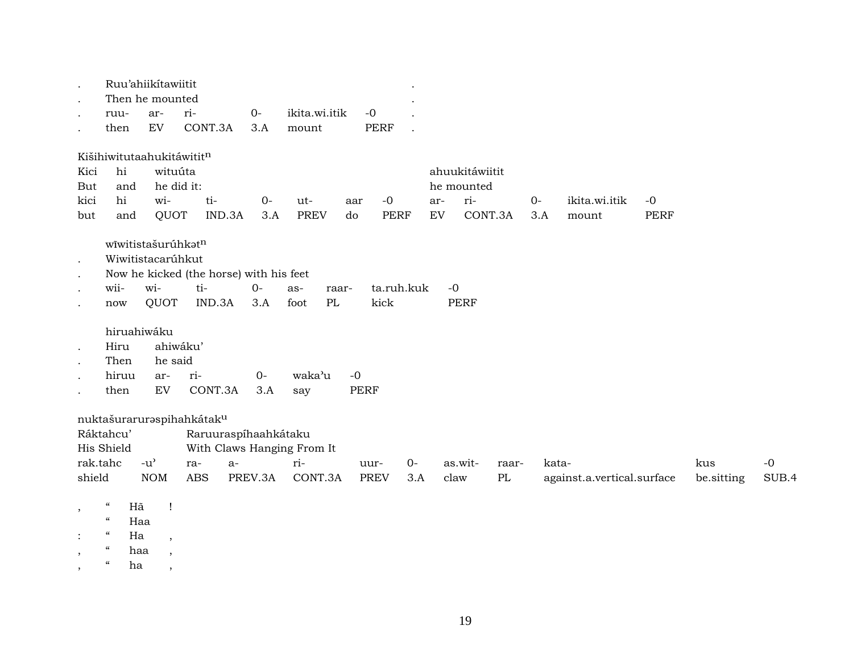|                      |                                   | Ruu'ahiikítawiitit<br>Then he mounted |                           |                                         |                            |             |             |                |          |       |                            |      |            |       |
|----------------------|-----------------------------------|---------------------------------------|---------------------------|-----------------------------------------|----------------------------|-------------|-------------|----------------|----------|-------|----------------------------|------|------------|-------|
|                      | ruu-                              | ar-                                   | ri-                       | $O -$                                   | ikita.wi.itik              | $-0$        |             |                |          |       |                            |      |            |       |
|                      | then                              | ${\rm EV}$                            | CONT.3A                   | 3.A                                     | mount                      | <b>PERF</b> |             |                |          |       |                            |      |            |       |
|                      | Kišihiwitutaahukitáwititn         |                                       |                           |                                         |                            |             |             |                |          |       |                            |      |            |       |
| Kici                 | hi                                | wituúta                               |                           |                                         |                            |             |             | ahuukitáwiitit |          |       |                            |      |            |       |
| But                  | and                               |                                       | he did it:                |                                         |                            |             |             | he mounted     |          |       |                            |      |            |       |
| kici                 | hi                                | wi-                                   | ti-                       | $0-$                                    | ut-                        | $-0$<br>aar |             | ri-<br>ar-     |          | $0-$  | ikita.wi.itik              | $-0$ |            |       |
| but                  | and                               | QUOT                                  |                           | IND.3A<br>3.A                           | <b>PREV</b>                | do          | <b>PERF</b> | ${\rm EV}$     | CONT.3A  | 3.A   | mount                      | PERF |            |       |
|                      |                                   | wīwitistašurúhkatn                    |                           |                                         |                            |             |             |                |          |       |                            |      |            |       |
| $\mathbf{r}$         |                                   | Wiwitistacarúhkut                     |                           |                                         |                            |             |             |                |          |       |                            |      |            |       |
| $\ddot{\phantom{a}}$ |                                   |                                       |                           | Now he kicked (the horse) with his feet |                            |             |             |                |          |       |                            |      |            |       |
|                      | wii-                              | wi-                                   | ti-                       | $O-$                                    | as-<br>raar-               |             | ta.ruh.kuk  | $-0$           |          |       |                            |      |            |       |
|                      | now                               | QUOT                                  | IND.3A                    | 3.A                                     | foot<br>PL                 | kick        |             | <b>PERF</b>    |          |       |                            |      |            |       |
|                      | hiruahiwáku                       |                                       |                           |                                         |                            |             |             |                |          |       |                            |      |            |       |
|                      | Hiru                              |                                       | ahiwáku'                  |                                         |                            |             |             |                |          |       |                            |      |            |       |
|                      | Then                              | he said                               |                           |                                         |                            |             |             |                |          |       |                            |      |            |       |
|                      | hiruu                             | ar-                                   | ri-                       | $O -$                                   | waka'u                     | $-0$        |             |                |          |       |                            |      |            |       |
|                      | then                              | EV                                    | CONT.3A                   | 3.A                                     | say                        | <b>PERF</b> |             |                |          |       |                            |      |            |       |
|                      |                                   |                                       | nuktašuraruraspihahkátaku |                                         |                            |             |             |                |          |       |                            |      |            |       |
|                      | Ráktahcu'                         |                                       |                           | Raruuraspíhaahkátaku                    |                            |             |             |                |          |       |                            |      |            |       |
|                      | His Shield                        |                                       |                           |                                         | With Claws Hanging From It |             |             |                |          |       |                            |      |            |       |
|                      | rak.tahc                          | $-u$ <sup><math>\prime</math></sup>   | ra-                       | $a-$                                    | ri-                        | uur-        | $0 -$       | as.wit-        | raar-    | kata- |                            |      | kus        | $-0$  |
| shield               |                                   | <b>NOM</b>                            | <b>ABS</b>                | PREV.3A                                 | CONT.3A                    | <b>PREV</b> | 3.A         | claw           | $\rm PL$ |       | against.a.vertical.surface |      | be.sitting | SUB.4 |
| $\cdot$              | $\epsilon\epsilon$<br>Hã          | $\mathbf{I}$                          |                           |                                         |                            |             |             |                |          |       |                            |      |            |       |
|                      | $\boldsymbol{\mathcal{C}}$        | Haa                                   |                           |                                         |                            |             |             |                |          |       |                            |      |            |       |
|                      | $\boldsymbol{\mathcal{C}}$<br>Ha  | $\overline{\phantom{a}}$              |                           |                                         |                            |             |             |                |          |       |                            |      |            |       |
|                      | $\boldsymbol{\mathcal{C}}$<br>haa | $\overline{\phantom{a}}$              |                           |                                         |                            |             |             |                |          |       |                            |      |            |       |
| $\cdot$              | $\boldsymbol{\mathcal{U}}$<br>ha  | $\cdot$                               |                           |                                         |                            |             |             |                |          |       |                            |      |            |       |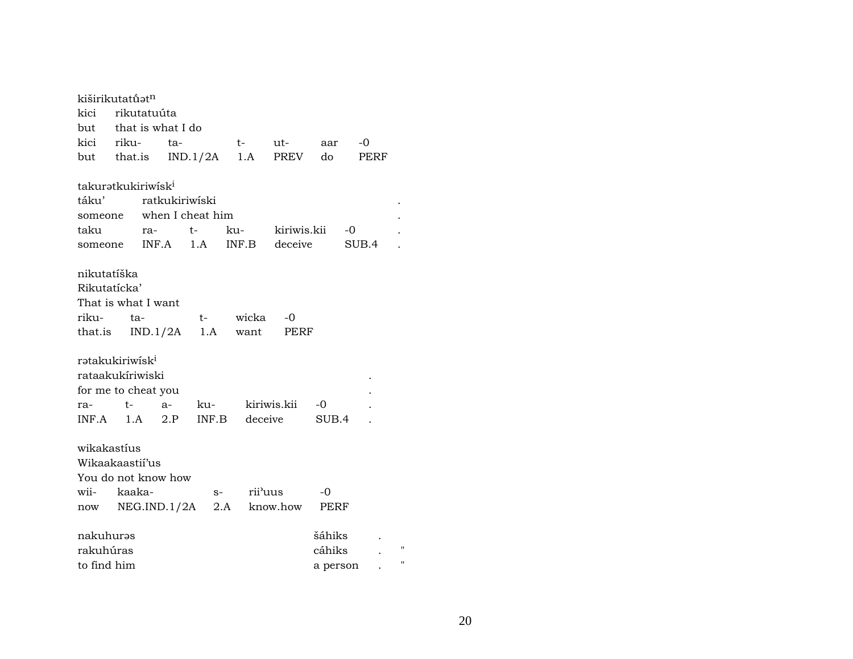| kiširikutatū́ət <sup>n</sup>   |      |     |          |                 |                      |                               |          |       |   |
|--------------------------------|------|-----|----------|-----------------|----------------------|-------------------------------|----------|-------|---|
| kici rikutatuúta               |      |     |          |                 |                      |                               |          |       |   |
| but that is what I do          |      |     |          |                 |                      |                               |          |       |   |
| kici riku-                     |      |     | ta-      |                 | t-                   | ut-                           | aar      | $-0$  |   |
| but that.is IND.1/2A           |      |     |          |                 |                      | 1.A PREV                      | do       | PERF  |   |
| takuratkukiriwisk <sup>i</sup> |      |     |          |                 |                      |                               |          |       |   |
| táku'                          |      |     |          | ratkukiriwiski  |                      |                               |          |       |   |
| someone when I cheat him       |      |     |          |                 |                      |                               |          |       |   |
| taku                           |      | ra- |          | t-              | ku-                  | kiriwis.kii                   |          | $-0$  |   |
| someone INF.A 1.A              |      |     |          |                 |                      | INF.B deceive                 |          | SUB.4 |   |
| nikutatíška                    |      |     |          |                 |                      |                               |          |       |   |
| Rikutatícka'                   |      |     |          |                 |                      |                               |          |       |   |
| That is what I want            |      |     |          |                 |                      |                               |          |       |   |
| riku-                          | ta-  |     |          | $t-$            | wicka                | -0                            |          |       |   |
| that.is                        |      |     | IND.1/2A | 1.A             | want                 | PERF                          |          |       |   |
| rətakukiriwisk <sup>i</sup>    |      |     |          |                 |                      |                               |          |       |   |
| rataakukíriwiski               |      |     |          |                 |                      |                               |          |       |   |
| for me to cheat you            |      |     |          |                 |                      |                               |          |       |   |
| ra-                            | $t-$ |     | a-       | ku- kiriwis.kii |                      |                               | $-0$     |       |   |
| $INF.A$ 1.A                    |      |     | 2.P      | INF.B deceive   |                      |                               | SUB.4    |       |   |
| wikakastíus                    |      |     |          |                 |                      |                               |          |       |   |
| Wikaakaastii'us                |      |     |          |                 |                      |                               |          |       |   |
| You do not know how            |      |     |          |                 |                      |                               |          |       |   |
| wii- kaaka-                    |      |     |          | $S-$            | rii <sup>3</sup> uus |                               | -0       |       |   |
|                                |      |     |          |                 |                      | now NEG.IND.1/2A 2.A know.how | PERF     |       |   |
| nakuhurəs                      |      |     |          |                 |                      |                               | šáhiks   |       |   |
| rakuhúras                      |      |     |          |                 |                      |                               | cáhiks   |       | Ħ |
| to find him                    |      |     |          |                 |                      |                               | a person |       | Ħ |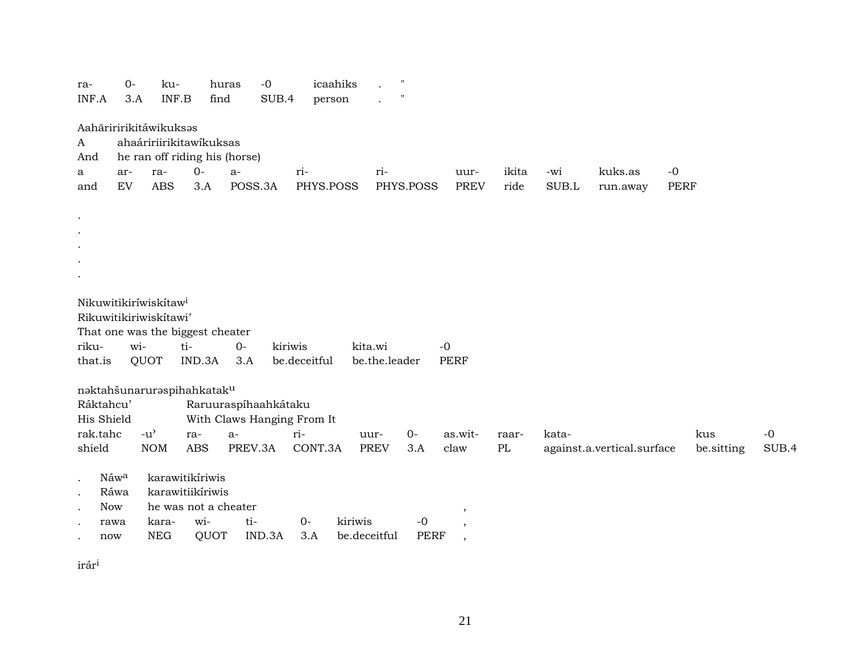| ra-<br>INF.A | $O -$<br>3.A | ku-<br>INF.B                      |                                  | huras<br>find                 | $-0$<br>SUB.4 | icaahiks<br>person |               | $\mathbf H$ |                                     |       |             |                            |      |            |       |
|--------------|--------------|-----------------------------------|----------------------------------|-------------------------------|---------------|--------------------|---------------|-------------|-------------------------------------|-------|-------------|----------------------------|------|------------|-------|
| A            |              | Aahāriririkitáwikuksas            | ahaáririirikitawíkuksas          |                               |               |                    |               |             |                                     |       |             |                            |      |            |       |
| And          |              |                                   |                                  | he ran off riding his (horse) |               |                    |               |             |                                     |       |             |                            |      |            |       |
| a            | ar-          | ra-                               | $0-$                             | $a-$                          | ri-           |                    | ri-           |             | uur-                                | ikita | -wi         | kuks.as                    | $-0$ |            |       |
| and          | EV           | <b>ABS</b>                        | 3.A                              | POSS.3A                       |               | PHYS.POSS          |               | PHYS.POSS   | <b>PREV</b>                         | ride  | $\rm SUB.L$ | run.away                   | PERF |            |       |
|              |              |                                   |                                  |                               |               |                    |               |             |                                     |       |             |                            |      |            |       |
| $\bullet$    |              |                                   |                                  |                               |               |                    |               |             |                                     |       |             |                            |      |            |       |
| $\bullet$    |              |                                   |                                  |                               |               |                    |               |             |                                     |       |             |                            |      |            |       |
|              |              |                                   |                                  |                               |               |                    |               |             |                                     |       |             |                            |      |            |       |
|              |              |                                   |                                  |                               |               |                    |               |             |                                     |       |             |                            |      |            |       |
|              |              |                                   |                                  |                               |               |                    |               |             |                                     |       |             |                            |      |            |       |
|              |              | Nikuwitikiríwiskítaw <sup>i</sup> |                                  |                               |               |                    |               |             |                                     |       |             |                            |      |            |       |
|              |              | Rikuwitikiriwiskitawi'            |                                  |                               |               |                    |               |             |                                     |       |             |                            |      |            |       |
|              |              |                                   | That one was the biggest cheater |                               |               |                    |               |             |                                     |       |             |                            |      |            |       |
| riku-        | wi-          |                                   | ti-                              | $O -$                         | kiriwis       |                    | kita.wi       |             | $-0$                                |       |             |                            |      |            |       |
| that.is      |              | QUOT                              | IND.3A                           | 3.A                           |               | be.deceitful       | be.the.leader |             | <b>PERF</b>                         |       |             |                            |      |            |       |
|              |              |                                   |                                  |                               |               |                    |               |             |                                     |       |             |                            |      |            |       |
|              |              |                                   | naktahšunaruraspihahkataku       |                               |               |                    |               |             |                                     |       |             |                            |      |            |       |
| Ráktahcu'    |              |                                   |                                  | Raruuraspíhaahkátaku          |               |                    |               |             |                                     |       |             |                            |      |            |       |
| His Shield   |              |                                   |                                  | With Claws Hanging From It    |               |                    |               |             |                                     |       |             |                            |      |            |       |
| rak.tahc     |              | $-u^{\prime}$                     | ra-                              | $a-$                          | ri-           |                    | uur-          | $O -$       | as.wit-                             | raar- | kata-       |                            |      | kus        | $-0$  |
| shield       |              | <b>NOM</b>                        | <b>ABS</b>                       | PREV.3A                       |               | CONT.3A            | <b>PREV</b>   | 3.A         | claw                                | PL    |             | against.a.vertical.surface |      | be.sitting | SUB.4 |
|              | Náwa         |                                   | karawitikíriwis                  |                               |               |                    |               |             |                                     |       |             |                            |      |            |       |
| $\cdot$      | Ráwa         |                                   | karawitiikíriwis                 |                               |               |                    |               |             |                                     |       |             |                            |      |            |       |
| <b>Now</b>   |              |                                   | he was not a cheater             |                               |               |                    |               |             |                                     |       |             |                            |      |            |       |
|              | rawa         | kara-                             | wi-                              | ti-                           |               | kiriwis<br>$0-$    |               | $-0$        | ,                                   |       |             |                            |      |            |       |
| now          |              | <b>NEG</b>                        | QUOT                             |                               | IND.3A        | 3.A                | be.deceitful  | <b>PERF</b> | $\cdot$<br>$\overline{\phantom{a}}$ |       |             |                            |      |            |       |
|              |              |                                   |                                  |                               |               |                    |               |             |                                     |       |             |                            |      |            |       |

 $\mathrm{ir\'ar}^{\mathrm i}$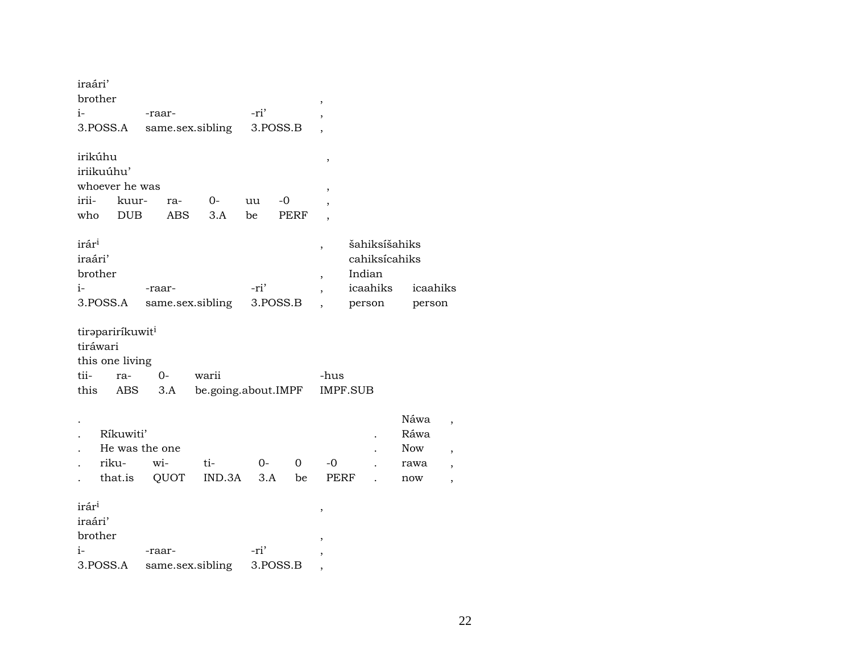| iraári'                                         |                                                               |                               |                              |             |          |                               |                                                                |                                    |                                                                                          |
|-------------------------------------------------|---------------------------------------------------------------|-------------------------------|------------------------------|-------------|----------|-------------------------------|----------------------------------------------------------------|------------------------------------|------------------------------------------------------------------------------------------|
| brother                                         |                                                               |                               |                              |             |          | ,                             |                                                                |                                    |                                                                                          |
| i-                                              |                                                               | -raar-                        |                              | -ri'        |          |                               |                                                                |                                    |                                                                                          |
|                                                 | 3.POSS.A                                                      |                               | same.sex.sibling             |             | 3.POSS.B |                               |                                                                |                                    |                                                                                          |
| irikúhu                                         | iriikuúhu'<br>whoever he was                                  |                               |                              |             |          | ,<br>,                        |                                                                |                                    |                                                                                          |
| irii-                                           | kuur-                                                         | ra-                           | $O -$                        | uu          | -0       | $\overline{\phantom{a}}$      |                                                                |                                    |                                                                                          |
| who                                             | <b>DUB</b>                                                    | <b>ABS</b>                    | 3.A                          | be          | PERF     |                               |                                                                |                                    |                                                                                          |
| irár <sup>i</sup><br>iraári'<br>brother<br>$i-$ | 3.POSS.A                                                      | -raar-                        | same.sex.sibling             | -ri'        | 3.POSS.B | ,<br>$\overline{\phantom{a}}$ | šahiksíšahiks<br>cahiksícahiks<br>Indian<br>icaahiks<br>person | icaahiks<br>person                 |                                                                                          |
| tiráwari<br>tii-<br>this                        | tirapariríkuwit <sup>i</sup><br>this one living<br>ra-<br>ABS | $0-$<br>3.A                   | warii<br>be.going.about.IMPF |             |          | -hus                          | <b>IMPF.SUB</b>                                                |                                    |                                                                                          |
|                                                 | Ríkuwiti'<br>riku-<br>that.is                                 | He was the one<br>wi-<br>QUOT | ti-<br>IND.3A                | $0-$<br>3.A | 0<br>be  | -0<br>PERF                    |                                                                | Náwa<br>Ráwa<br>Now<br>rawa<br>now | $\overline{ }$<br>$\overline{\phantom{a}}$<br>$\overline{\phantom{a}}$<br>$\overline{ }$ |
| irár <sup>i</sup><br>iraári'<br>brother<br>$i-$ |                                                               | -raar-                        |                              | -ri'        |          | ,<br>$\overline{ }$           |                                                                |                                    |                                                                                          |
|                                                 | 3.POSS.A                                                      | same.sex.sibling              |                              |             | 3.POSS.B | ,                             |                                                                |                                    |                                                                                          |

22